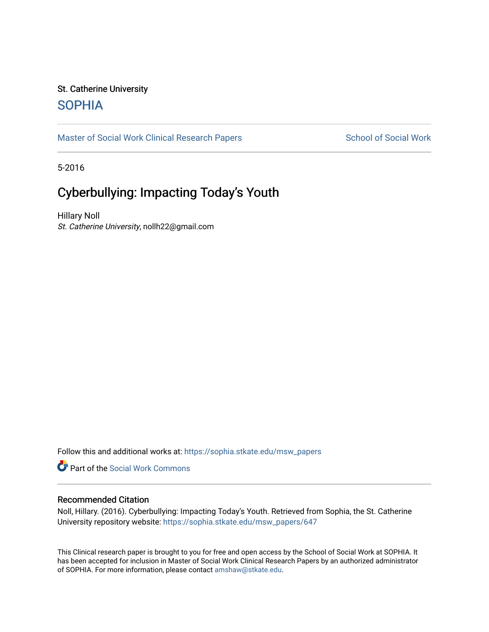# St. Catherine University **SOPHIA**

[Master of Social Work Clinical Research Papers](https://sophia.stkate.edu/msw_papers) School of Social Work

5-2016

# Cyberbullying: Impacting Today's Youth

Hillary Noll St. Catherine University, nollh22@gmail.com

Follow this and additional works at: [https://sophia.stkate.edu/msw\\_papers](https://sophia.stkate.edu/msw_papers?utm_source=sophia.stkate.edu%2Fmsw_papers%2F647&utm_medium=PDF&utm_campaign=PDFCoverPages) 

Part of the [Social Work Commons](http://network.bepress.com/hgg/discipline/713?utm_source=sophia.stkate.edu%2Fmsw_papers%2F647&utm_medium=PDF&utm_campaign=PDFCoverPages)

#### Recommended Citation

Noll, Hillary. (2016). Cyberbullying: Impacting Today's Youth. Retrieved from Sophia, the St. Catherine University repository website: [https://sophia.stkate.edu/msw\\_papers/647](https://sophia.stkate.edu/msw_papers/647?utm_source=sophia.stkate.edu%2Fmsw_papers%2F647&utm_medium=PDF&utm_campaign=PDFCoverPages)

This Clinical research paper is brought to you for free and open access by the School of Social Work at SOPHIA. It has been accepted for inclusion in Master of Social Work Clinical Research Papers by an authorized administrator of SOPHIA. For more information, please contact [amshaw@stkate.edu.](mailto:amshaw@stkate.edu)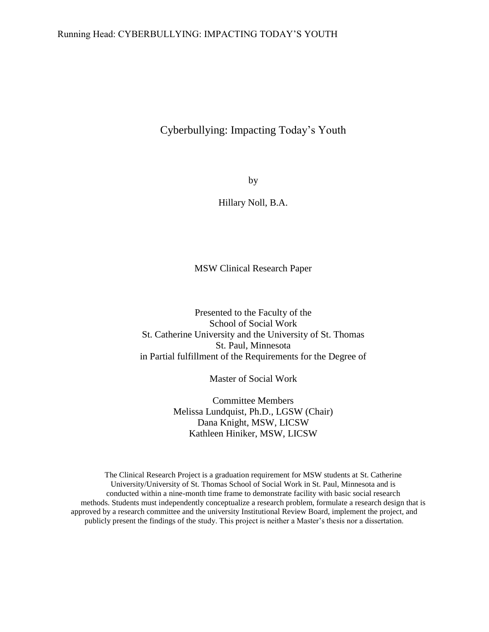## Running Head: CYBERBULLYING: IMPACTING TODAY'S YOUTH

# Cyberbullying: Impacting Today's Youth

by

Hillary Noll, B.A.

MSW Clinical Research Paper

Presented to the Faculty of the School of Social Work St. Catherine University and the University of St. Thomas St. Paul, Minnesota in Partial fulfillment of the Requirements for the Degree of

Master of Social Work

Committee Members Melissa Lundquist, Ph.D., LGSW (Chair) Dana Knight, MSW, LICSW Kathleen Hiniker, MSW, LICSW

The Clinical Research Project is a graduation requirement for MSW students at St. Catherine University/University of St. Thomas School of Social Work in St. Paul, Minnesota and is conducted within a nine-month time frame to demonstrate facility with basic social research methods. Students must independently conceptualize a research problem, formulate a research design that is approved by a research committee and the university Institutional Review Board, implement the project, and publicly present the findings of the study. This project is neither a Master's thesis nor a dissertation.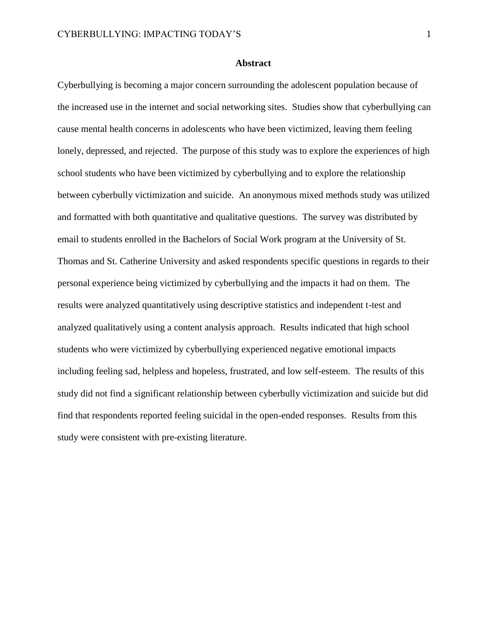#### **Abstract**

Cyberbullying is becoming a major concern surrounding the adolescent population because of the increased use in the internet and social networking sites. Studies show that cyberbullying can cause mental health concerns in adolescents who have been victimized, leaving them feeling lonely, depressed, and rejected. The purpose of this study was to explore the experiences of high school students who have been victimized by cyberbullying and to explore the relationship between cyberbully victimization and suicide. An anonymous mixed methods study was utilized and formatted with both quantitative and qualitative questions. The survey was distributed by email to students enrolled in the Bachelors of Social Work program at the University of St. Thomas and St. Catherine University and asked respondents specific questions in regards to their personal experience being victimized by cyberbullying and the impacts it had on them. The results were analyzed quantitatively using descriptive statistics and independent t-test and analyzed qualitatively using a content analysis approach. Results indicated that high school students who were victimized by cyberbullying experienced negative emotional impacts including feeling sad, helpless and hopeless, frustrated, and low self-esteem. The results of this study did not find a significant relationship between cyberbully victimization and suicide but did find that respondents reported feeling suicidal in the open-ended responses. Results from this study were consistent with pre-existing literature.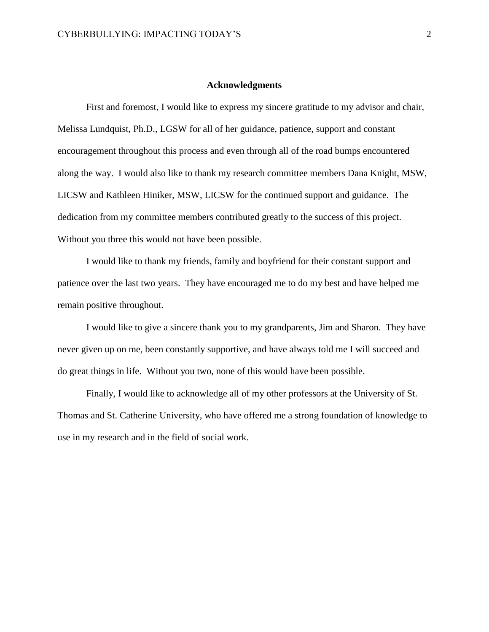#### **Acknowledgments**

First and foremost, I would like to express my sincere gratitude to my advisor and chair, Melissa Lundquist, Ph.D., LGSW for all of her guidance, patience, support and constant encouragement throughout this process and even through all of the road bumps encountered along the way. I would also like to thank my research committee members Dana Knight, MSW, LICSW and Kathleen Hiniker, MSW, LICSW for the continued support and guidance. The dedication from my committee members contributed greatly to the success of this project. Without you three this would not have been possible.

I would like to thank my friends, family and boyfriend for their constant support and patience over the last two years. They have encouraged me to do my best and have helped me remain positive throughout.

I would like to give a sincere thank you to my grandparents, Jim and Sharon. They have never given up on me, been constantly supportive, and have always told me I will succeed and do great things in life. Without you two, none of this would have been possible.

Finally, I would like to acknowledge all of my other professors at the University of St. Thomas and St. Catherine University, who have offered me a strong foundation of knowledge to use in my research and in the field of social work.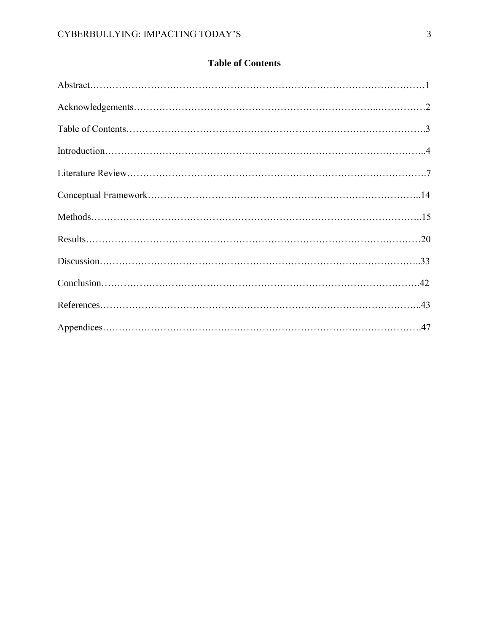# **Table of Contents**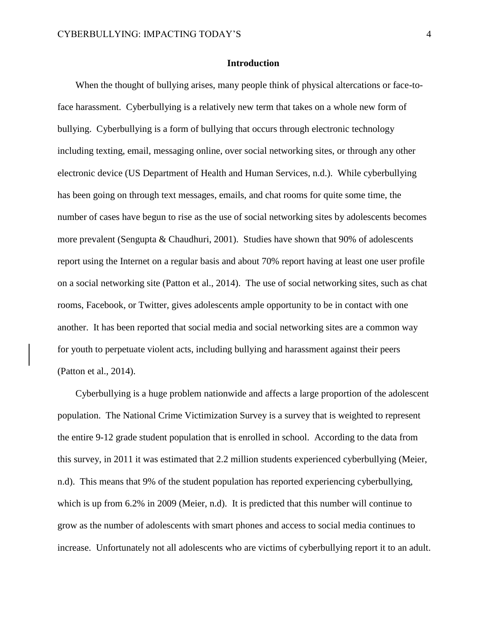#### **Introduction**

When the thought of bullying arises, many people think of physical altercations or face-toface harassment. Cyberbullying is a relatively new term that takes on a whole new form of bullying. Cyberbullying is a form of bullying that occurs through electronic technology including texting, email, messaging online, over social networking sites, or through any other electronic device (US Department of Health and Human Services, n.d.). While cyberbullying has been going on through text messages, emails, and chat rooms for quite some time, the number of cases have begun to rise as the use of social networking sites by adolescents becomes more prevalent (Sengupta & Chaudhuri, 2001). Studies have shown that 90% of adolescents report using the Internet on a regular basis and about 70% report having at least one user profile on a social networking site (Patton et al., 2014). The use of social networking sites, such as chat rooms, Facebook, or Twitter, gives adolescents ample opportunity to be in contact with one another. It has been reported that social media and social networking sites are a common way for youth to perpetuate violent acts, including bullying and harassment against their peers (Patton et al., 2014).

Cyberbullying is a huge problem nationwide and affects a large proportion of the adolescent population. The National Crime Victimization Survey is a survey that is weighted to represent the entire 9-12 grade student population that is enrolled in school. According to the data from this survey, in 2011 it was estimated that 2.2 million students experienced cyberbullying (Meier, n.d). This means that 9% of the student population has reported experiencing cyberbullying, which is up from 6.2% in 2009 (Meier, n.d). It is predicted that this number will continue to grow as the number of adolescents with smart phones and access to social media continues to increase. Unfortunately not all adolescents who are victims of cyberbullying report it to an adult.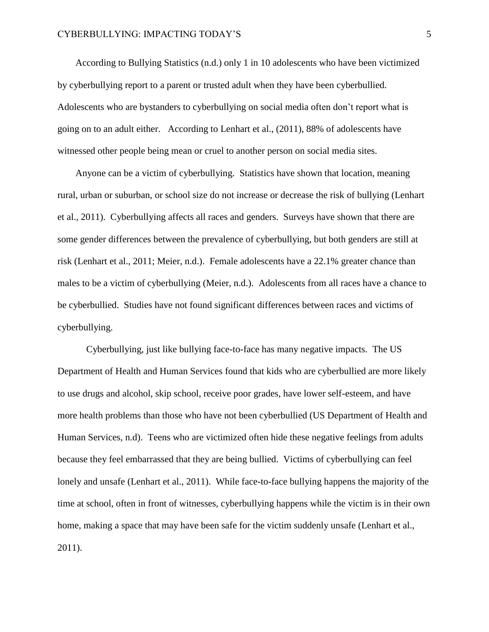According to Bullying Statistics (n.d.) only 1 in 10 adolescents who have been victimized by cyberbullying report to a parent or trusted adult when they have been cyberbullied. Adolescents who are bystanders to cyberbullying on social media often don't report what is going on to an adult either. According to Lenhart et al., (2011), 88% of adolescents have witnessed other people being mean or cruel to another person on social media sites.

Anyone can be a victim of cyberbullying. Statistics have shown that location, meaning rural, urban or suburban, or school size do not increase or decrease the risk of bullying (Lenhart et al., 2011). Cyberbullying affects all races and genders. Surveys have shown that there are some gender differences between the prevalence of cyberbullying, but both genders are still at risk (Lenhart et al., 2011; Meier, n.d.). Female adolescents have a 22.1% greater chance than males to be a victim of cyberbullying (Meier, n.d.). Adolescents from all races have a chance to be cyberbullied. Studies have not found significant differences between races and victims of cyberbullying.

Cyberbullying, just like bullying face-to-face has many negative impacts. The US Department of Health and Human Services found that kids who are cyberbullied are more likely to use drugs and alcohol, skip school, receive poor grades, have lower self-esteem, and have more health problems than those who have not been cyberbullied (US Department of Health and Human Services, n.d). Teens who are victimized often hide these negative feelings from adults because they feel embarrassed that they are being bullied. Victims of cyberbullying can feel lonely and unsafe (Lenhart et al., 2011). While face-to-face bullying happens the majority of the time at school, often in front of witnesses, cyberbullying happens while the victim is in their own home, making a space that may have been safe for the victim suddenly unsafe (Lenhart et al., 2011).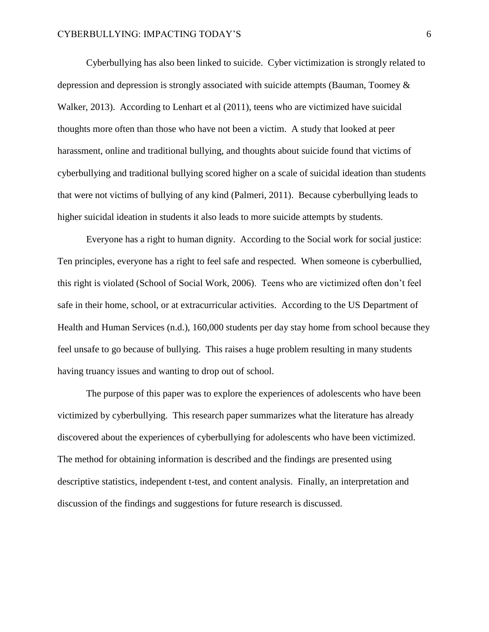Cyberbullying has also been linked to suicide. Cyber victimization is strongly related to depression and depression is strongly associated with suicide attempts (Bauman, Toomey & Walker, 2013). According to Lenhart et al (2011), teens who are victimized have suicidal thoughts more often than those who have not been a victim. A study that looked at peer harassment, online and traditional bullying, and thoughts about suicide found that victims of cyberbullying and traditional bullying scored higher on a scale of suicidal ideation than students that were not victims of bullying of any kind (Palmeri, 2011). Because cyberbullying leads to higher suicidal ideation in students it also leads to more suicide attempts by students.

Everyone has a right to human dignity. According to the Social work for social justice: Ten principles, everyone has a right to feel safe and respected. When someone is cyberbullied, this right is violated (School of Social Work, 2006). Teens who are victimized often don't feel safe in their home, school, or at extracurricular activities. According to the US Department of Health and Human Services (n.d.), 160,000 students per day stay home from school because they feel unsafe to go because of bullying. This raises a huge problem resulting in many students having truancy issues and wanting to drop out of school.

The purpose of this paper was to explore the experiences of adolescents who have been victimized by cyberbullying. This research paper summarizes what the literature has already discovered about the experiences of cyberbullying for adolescents who have been victimized. The method for obtaining information is described and the findings are presented using descriptive statistics, independent t-test, and content analysis. Finally, an interpretation and discussion of the findings and suggestions for future research is discussed.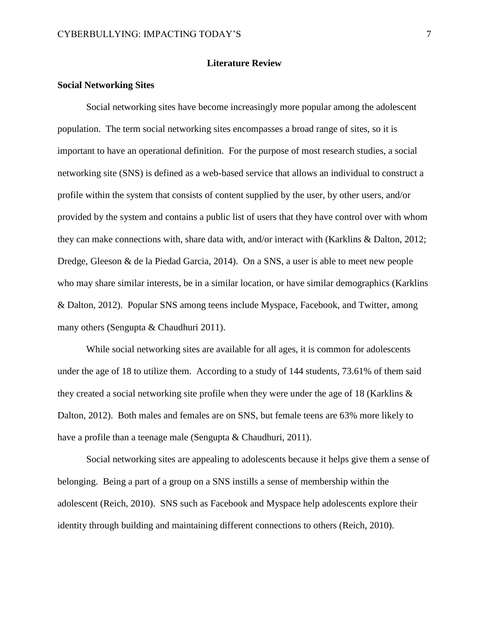#### **Literature Review**

#### **Social Networking Sites**

Social networking sites have become increasingly more popular among the adolescent population. The term social networking sites encompasses a broad range of sites, so it is important to have an operational definition. For the purpose of most research studies, a social networking site (SNS) is defined as a web-based service that allows an individual to construct a profile within the system that consists of content supplied by the user, by other users, and/or provided by the system and contains a public list of users that they have control over with whom they can make connections with, share data with, and/or interact with (Karklins & Dalton, 2012; Dredge, Gleeson & de la Piedad Garcia, 2014). On a SNS, a user is able to meet new people who may share similar interests, be in a similar location, or have similar demographics (Karklins & Dalton, 2012). Popular SNS among teens include Myspace, Facebook, and Twitter, among many others (Sengupta & Chaudhuri 2011).

While social networking sites are available for all ages, it is common for adolescents under the age of 18 to utilize them. According to a study of 144 students, 73.61% of them said they created a social networking site profile when they were under the age of 18 (Karklins & Dalton, 2012). Both males and females are on SNS, but female teens are 63% more likely to have a profile than a teenage male (Sengupta & Chaudhuri, 2011).

Social networking sites are appealing to adolescents because it helps give them a sense of belonging. Being a part of a group on a SNS instills a sense of membership within the adolescent (Reich, 2010). SNS such as Facebook and Myspace help adolescents explore their identity through building and maintaining different connections to others (Reich, 2010).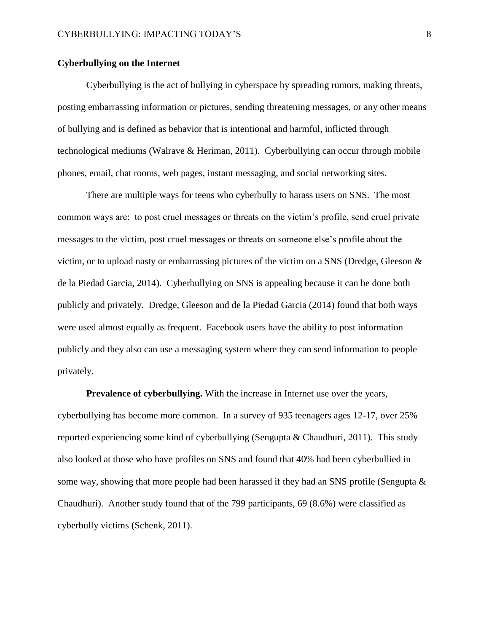# **Cyberbullying on the Internet**

Cyberbullying is the act of bullying in cyberspace by spreading rumors, making threats, posting embarrassing information or pictures, sending threatening messages, or any other means of bullying and is defined as behavior that is intentional and harmful, inflicted through technological mediums (Walrave & Heriman, 2011). Cyberbullying can occur through mobile phones, email, chat rooms, web pages, instant messaging, and social networking sites.

There are multiple ways for teens who cyberbully to harass users on SNS. The most common ways are: to post cruel messages or threats on the victim's profile, send cruel private messages to the victim, post cruel messages or threats on someone else's profile about the victim, or to upload nasty or embarrassing pictures of the victim on a SNS (Dredge, Gleeson & de la Piedad Garcia, 2014). Cyberbullying on SNS is appealing because it can be done both publicly and privately. Dredge, Gleeson and de la Piedad Garcia (2014) found that both ways were used almost equally as frequent. Facebook users have the ability to post information publicly and they also can use a messaging system where they can send information to people privately.

**Prevalence of cyberbullying.** With the increase in Internet use over the years, cyberbullying has become more common. In a survey of 935 teenagers ages 12-17, over 25% reported experiencing some kind of cyberbullying (Sengupta & Chaudhuri, 2011). This study also looked at those who have profiles on SNS and found that 40% had been cyberbullied in some way, showing that more people had been harassed if they had an SNS profile (Sengupta & Chaudhuri). Another study found that of the 799 participants, 69 (8.6%) were classified as cyberbully victims (Schenk, 2011).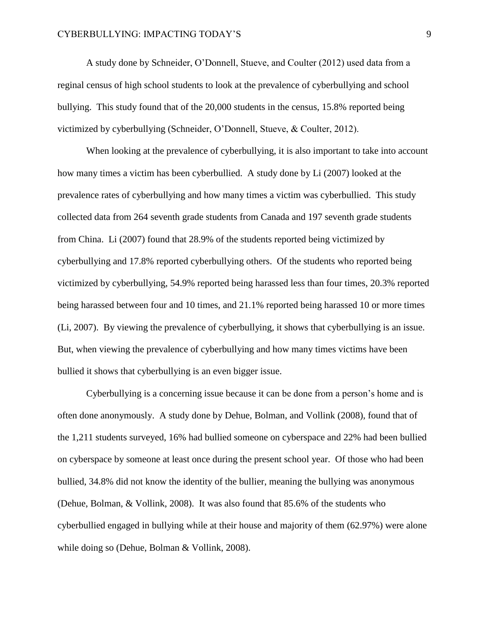A study done by Schneider, O'Donnell, Stueve, and Coulter (2012) used data from a reginal census of high school students to look at the prevalence of cyberbullying and school bullying. This study found that of the 20,000 students in the census, 15.8% reported being victimized by cyberbullying (Schneider, O'Donnell, Stueve, & Coulter, 2012).

When looking at the prevalence of cyberbullying, it is also important to take into account how many times a victim has been cyberbullied. A study done by Li (2007) looked at the prevalence rates of cyberbullying and how many times a victim was cyberbullied. This study collected data from 264 seventh grade students from Canada and 197 seventh grade students from China. Li (2007) found that 28.9% of the students reported being victimized by cyberbullying and 17.8% reported cyberbullying others. Of the students who reported being victimized by cyberbullying, 54.9% reported being harassed less than four times, 20.3% reported being harassed between four and 10 times, and 21.1% reported being harassed 10 or more times (Li, 2007). By viewing the prevalence of cyberbullying, it shows that cyberbullying is an issue. But, when viewing the prevalence of cyberbullying and how many times victims have been bullied it shows that cyberbullying is an even bigger issue.

Cyberbullying is a concerning issue because it can be done from a person's home and is often done anonymously. A study done by Dehue, Bolman, and Vollink (2008), found that of the 1,211 students surveyed, 16% had bullied someone on cyberspace and 22% had been bullied on cyberspace by someone at least once during the present school year. Of those who had been bullied, 34.8% did not know the identity of the bullier, meaning the bullying was anonymous (Dehue, Bolman, & Vollink, 2008). It was also found that 85.6% of the students who cyberbullied engaged in bullying while at their house and majority of them (62.97%) were alone while doing so (Dehue, Bolman & Vollink, 2008).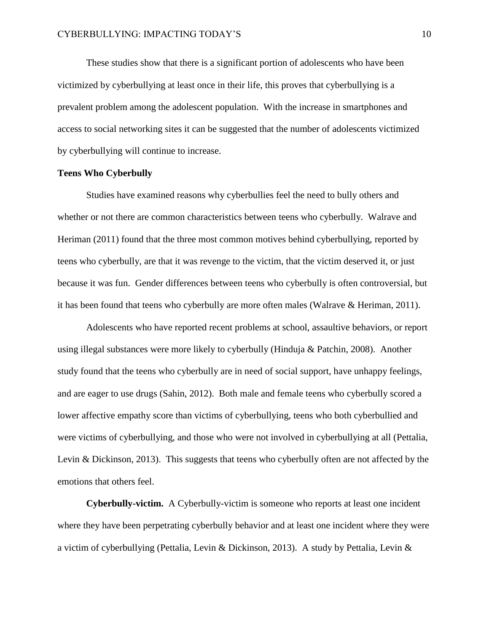These studies show that there is a significant portion of adolescents who have been victimized by cyberbullying at least once in their life, this proves that cyberbullying is a prevalent problem among the adolescent population. With the increase in smartphones and access to social networking sites it can be suggested that the number of adolescents victimized by cyberbullying will continue to increase.

#### **Teens Who Cyberbully**

Studies have examined reasons why cyberbullies feel the need to bully others and whether or not there are common characteristics between teens who cyberbully. Walrave and Heriman (2011) found that the three most common motives behind cyberbullying, reported by teens who cyberbully, are that it was revenge to the victim, that the victim deserved it, or just because it was fun. Gender differences between teens who cyberbully is often controversial, but it has been found that teens who cyberbully are more often males (Walrave & Heriman, 2011).

Adolescents who have reported recent problems at school, assaultive behaviors, or report using illegal substances were more likely to cyberbully (Hinduja & Patchin, 2008). Another study found that the teens who cyberbully are in need of social support, have unhappy feelings, and are eager to use drugs (Sahin, 2012). Both male and female teens who cyberbully scored a lower affective empathy score than victims of cyberbullying, teens who both cyberbullied and were victims of cyberbullying, and those who were not involved in cyberbullying at all (Pettalia, Levin & Dickinson, 2013). This suggests that teens who cyberbully often are not affected by the emotions that others feel.

**Cyberbully-victim.** A Cyberbully-victim is someone who reports at least one incident where they have been perpetrating cyberbully behavior and at least one incident where they were a victim of cyberbullying (Pettalia, Levin & Dickinson, 2013). A study by Pettalia, Levin &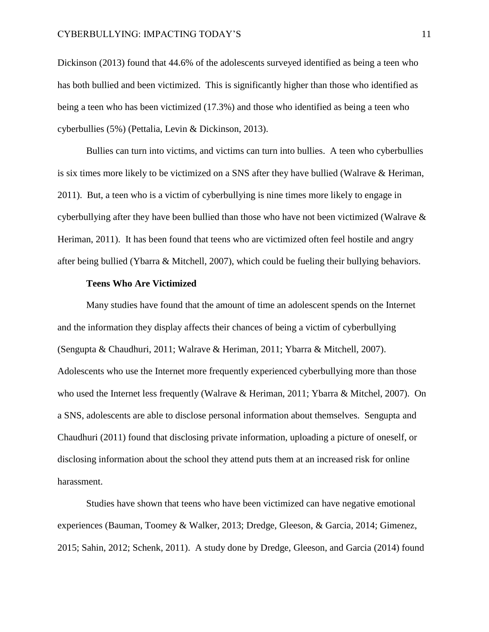Dickinson (2013) found that 44.6% of the adolescents surveyed identified as being a teen who has both bullied and been victimized. This is significantly higher than those who identified as being a teen who has been victimized (17.3%) and those who identified as being a teen who cyberbullies (5%) (Pettalia, Levin & Dickinson, 2013).

Bullies can turn into victims, and victims can turn into bullies. A teen who cyberbullies is six times more likely to be victimized on a SNS after they have bullied (Walrave & Heriman, 2011). But, a teen who is a victim of cyberbullying is nine times more likely to engage in cyberbullying after they have been bullied than those who have not been victimized (Walrave  $\&$ Heriman, 2011). It has been found that teens who are victimized often feel hostile and angry after being bullied (Ybarra & Mitchell, 2007), which could be fueling their bullying behaviors.

#### **Teens Who Are Victimized**

Many studies have found that the amount of time an adolescent spends on the Internet and the information they display affects their chances of being a victim of cyberbullying (Sengupta & Chaudhuri, 2011; Walrave & Heriman, 2011; Ybarra & Mitchell, 2007). Adolescents who use the Internet more frequently experienced cyberbullying more than those who used the Internet less frequently (Walrave & Heriman, 2011; Ybarra & Mitchel, 2007). On a SNS, adolescents are able to disclose personal information about themselves. Sengupta and Chaudhuri (2011) found that disclosing private information, uploading a picture of oneself, or disclosing information about the school they attend puts them at an increased risk for online harassment.

Studies have shown that teens who have been victimized can have negative emotional experiences (Bauman, Toomey & Walker, 2013; Dredge, Gleeson, & Garcia, 2014; Gimenez, 2015; Sahin, 2012; Schenk, 2011). A study done by Dredge, Gleeson, and Garcia (2014) found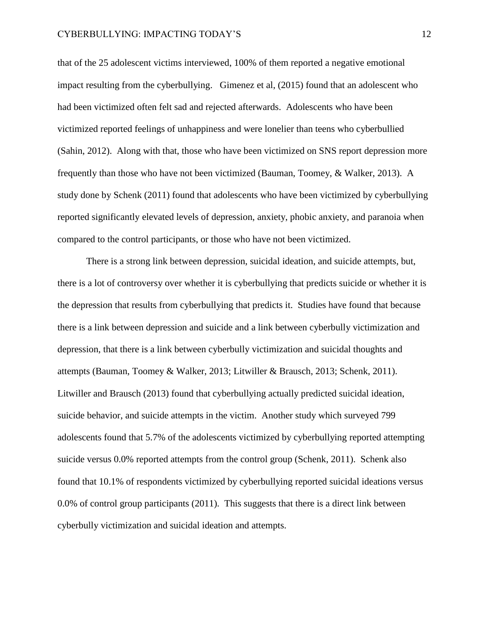that of the 25 adolescent victims interviewed, 100% of them reported a negative emotional impact resulting from the cyberbullying. Gimenez et al, (2015) found that an adolescent who had been victimized often felt sad and rejected afterwards. Adolescents who have been victimized reported feelings of unhappiness and were lonelier than teens who cyberbullied (Sahin, 2012). Along with that, those who have been victimized on SNS report depression more frequently than those who have not been victimized (Bauman, Toomey, & Walker, 2013). A study done by Schenk (2011) found that adolescents who have been victimized by cyberbullying reported significantly elevated levels of depression, anxiety, phobic anxiety, and paranoia when compared to the control participants, or those who have not been victimized.

There is a strong link between depression, suicidal ideation, and suicide attempts, but, there is a lot of controversy over whether it is cyberbullying that predicts suicide or whether it is the depression that results from cyberbullying that predicts it. Studies have found that because there is a link between depression and suicide and a link between cyberbully victimization and depression, that there is a link between cyberbully victimization and suicidal thoughts and attempts (Bauman, Toomey & Walker, 2013; Litwiller & Brausch, 2013; Schenk, 2011). Litwiller and Brausch (2013) found that cyberbullying actually predicted suicidal ideation, suicide behavior, and suicide attempts in the victim. Another study which surveyed 799 adolescents found that 5.7% of the adolescents victimized by cyberbullying reported attempting suicide versus 0.0% reported attempts from the control group (Schenk, 2011). Schenk also found that 10.1% of respondents victimized by cyberbullying reported suicidal ideations versus 0.0% of control group participants (2011). This suggests that there is a direct link between cyberbully victimization and suicidal ideation and attempts.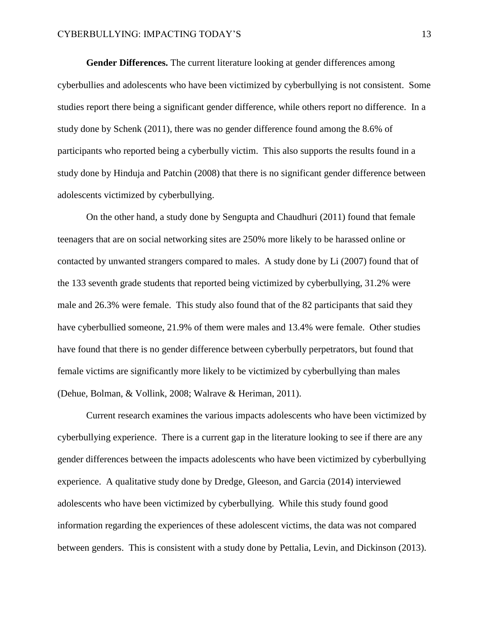**Gender Differences.** The current literature looking at gender differences among cyberbullies and adolescents who have been victimized by cyberbullying is not consistent. Some studies report there being a significant gender difference, while others report no difference. In a study done by Schenk (2011), there was no gender difference found among the 8.6% of participants who reported being a cyberbully victim. This also supports the results found in a study done by Hinduja and Patchin (2008) that there is no significant gender difference between adolescents victimized by cyberbullying.

On the other hand, a study done by Sengupta and Chaudhuri (2011) found that female teenagers that are on social networking sites are 250% more likely to be harassed online or contacted by unwanted strangers compared to males. A study done by Li (2007) found that of the 133 seventh grade students that reported being victimized by cyberbullying, 31.2% were male and 26.3% were female. This study also found that of the 82 participants that said they have cyberbullied someone, 21.9% of them were males and 13.4% were female. Other studies have found that there is no gender difference between cyberbully perpetrators, but found that female victims are significantly more likely to be victimized by cyberbullying than males (Dehue, Bolman, & Vollink, 2008; Walrave & Heriman, 2011).

Current research examines the various impacts adolescents who have been victimized by cyberbullying experience. There is a current gap in the literature looking to see if there are any gender differences between the impacts adolescents who have been victimized by cyberbullying experience. A qualitative study done by Dredge, Gleeson, and Garcia (2014) interviewed adolescents who have been victimized by cyberbullying. While this study found good information regarding the experiences of these adolescent victims, the data was not compared between genders. This is consistent with a study done by Pettalia, Levin, and Dickinson (2013).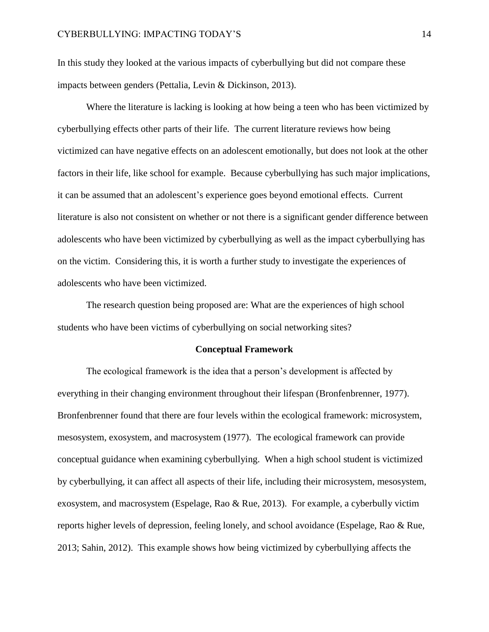In this study they looked at the various impacts of cyberbullying but did not compare these impacts between genders (Pettalia, Levin & Dickinson, 2013).

Where the literature is lacking is looking at how being a teen who has been victimized by cyberbullying effects other parts of their life. The current literature reviews how being victimized can have negative effects on an adolescent emotionally, but does not look at the other factors in their life, like school for example. Because cyberbullying has such major implications, it can be assumed that an adolescent's experience goes beyond emotional effects. Current literature is also not consistent on whether or not there is a significant gender difference between adolescents who have been victimized by cyberbullying as well as the impact cyberbullying has on the victim. Considering this, it is worth a further study to investigate the experiences of adolescents who have been victimized.

The research question being proposed are: What are the experiences of high school students who have been victims of cyberbullying on social networking sites?

#### **Conceptual Framework**

The ecological framework is the idea that a person's development is affected by everything in their changing environment throughout their lifespan (Bronfenbrenner, 1977). Bronfenbrenner found that there are four levels within the ecological framework: microsystem, mesosystem, exosystem, and macrosystem (1977). The ecological framework can provide conceptual guidance when examining cyberbullying. When a high school student is victimized by cyberbullying, it can affect all aspects of their life, including their microsystem, mesosystem, exosystem, and macrosystem (Espelage, Rao & Rue, 2013). For example, a cyberbully victim reports higher levels of depression, feeling lonely, and school avoidance (Espelage, Rao & Rue, 2013; Sahin, 2012). This example shows how being victimized by cyberbullying affects the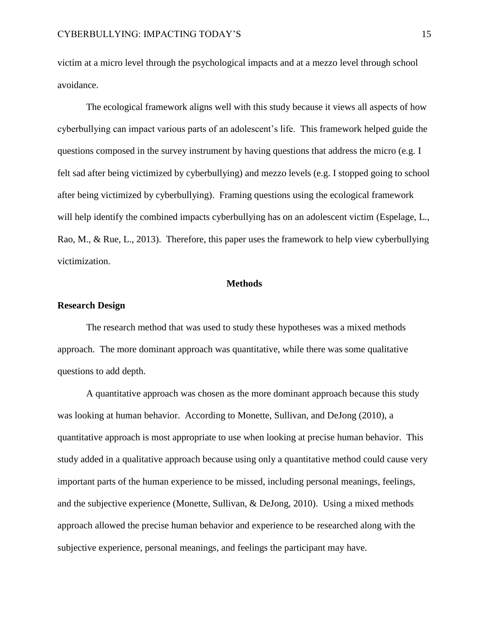victim at a micro level through the psychological impacts and at a mezzo level through school avoidance.

The ecological framework aligns well with this study because it views all aspects of how cyberbullying can impact various parts of an adolescent's life. This framework helped guide the questions composed in the survey instrument by having questions that address the micro (e.g. I felt sad after being victimized by cyberbullying) and mezzo levels (e.g. I stopped going to school after being victimized by cyberbullying). Framing questions using the ecological framework will help identify the combined impacts cyberbullying has on an adolescent victim (Espelage, L., Rao, M., & Rue, L., 2013). Therefore, this paper uses the framework to help view cyberbullying victimization.

#### **Methods**

#### **Research Design**

The research method that was used to study these hypotheses was a mixed methods approach. The more dominant approach was quantitative, while there was some qualitative questions to add depth.

A quantitative approach was chosen as the more dominant approach because this study was looking at human behavior. According to Monette, Sullivan, and DeJong (2010), a quantitative approach is most appropriate to use when looking at precise human behavior. This study added in a qualitative approach because using only a quantitative method could cause very important parts of the human experience to be missed, including personal meanings, feelings, and the subjective experience (Monette, Sullivan, & DeJong, 2010). Using a mixed methods approach allowed the precise human behavior and experience to be researched along with the subjective experience, personal meanings, and feelings the participant may have.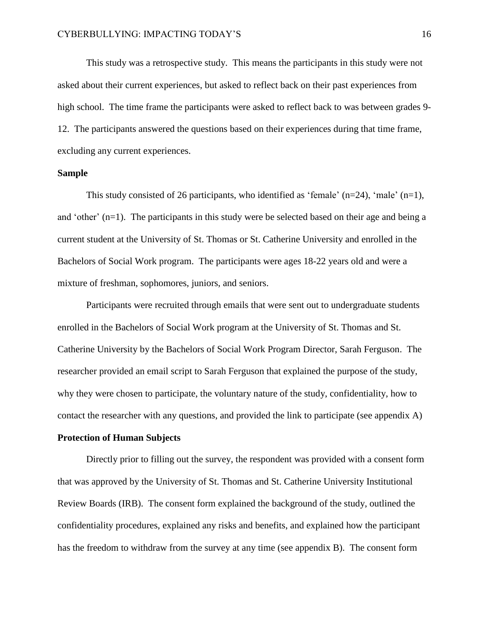This study was a retrospective study. This means the participants in this study were not asked about their current experiences, but asked to reflect back on their past experiences from high school. The time frame the participants were asked to reflect back to was between grades 9- 12. The participants answered the questions based on their experiences during that time frame, excluding any current experiences.

#### **Sample**

This study consisted of 26 participants, who identified as 'female'  $(n=24)$ , 'male'  $(n=1)$ , and 'other' (n=1). The participants in this study were be selected based on their age and being a current student at the University of St. Thomas or St. Catherine University and enrolled in the Bachelors of Social Work program. The participants were ages 18-22 years old and were a mixture of freshman, sophomores, juniors, and seniors.

Participants were recruited through emails that were sent out to undergraduate students enrolled in the Bachelors of Social Work program at the University of St. Thomas and St. Catherine University by the Bachelors of Social Work Program Director, Sarah Ferguson. The researcher provided an email script to Sarah Ferguson that explained the purpose of the study, why they were chosen to participate, the voluntary nature of the study, confidentiality, how to contact the researcher with any questions, and provided the link to participate (see appendix A)

## **Protection of Human Subjects**

Directly prior to filling out the survey, the respondent was provided with a consent form that was approved by the University of St. Thomas and St. Catherine University Institutional Review Boards (IRB). The consent form explained the background of the study, outlined the confidentiality procedures, explained any risks and benefits, and explained how the participant has the freedom to withdraw from the survey at any time (see appendix B). The consent form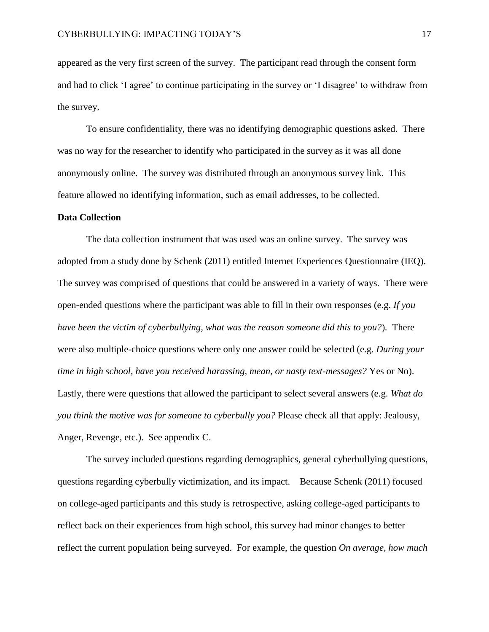appeared as the very first screen of the survey. The participant read through the consent form and had to click 'I agree' to continue participating in the survey or 'I disagree' to withdraw from the survey.

To ensure confidentiality, there was no identifying demographic questions asked. There was no way for the researcher to identify who participated in the survey as it was all done anonymously online. The survey was distributed through an anonymous survey link. This feature allowed no identifying information, such as email addresses, to be collected.

#### **Data Collection**

The data collection instrument that was used was an online survey. The survey was adopted from a study done by Schenk (2011) entitled Internet Experiences Questionnaire (IEQ). The survey was comprised of questions that could be answered in a variety of ways. There were open-ended questions where the participant was able to fill in their own responses (e.g. *If you have been the victim of cyberbullying, what was the reason someone did this to you?*)*.* There were also multiple-choice questions where only one answer could be selected (e.g. *During your time in high school, have you received harassing, mean, or nasty text-messages?* Yes or No). Lastly, there were questions that allowed the participant to select several answers (e.g. *What do you think the motive was for someone to cyberbully you?* Please check all that apply: Jealousy, Anger, Revenge, etc.). See appendix C.

The survey included questions regarding demographics, general cyberbullying questions, questions regarding cyberbully victimization, and its impact. Because Schenk (2011) focused on college-aged participants and this study is retrospective, asking college-aged participants to reflect back on their experiences from high school, this survey had minor changes to better reflect the current population being surveyed. For example, the question *On average, how much*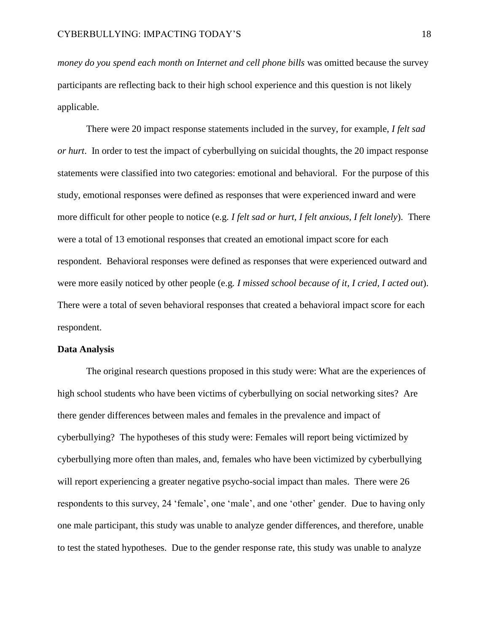*money do you spend each month on Internet and cell phone bills* was omitted because the survey participants are reflecting back to their high school experience and this question is not likely applicable.

There were 20 impact response statements included in the survey, for example, *I felt sad or hurt*. In order to test the impact of cyberbullying on suicidal thoughts, the 20 impact response statements were classified into two categories: emotional and behavioral. For the purpose of this study, emotional responses were defined as responses that were experienced inward and were more difficult for other people to notice (e.g. *I felt sad or hurt, I felt anxious, I felt lonely*). There were a total of 13 emotional responses that created an emotional impact score for each respondent. Behavioral responses were defined as responses that were experienced outward and were more easily noticed by other people (e.g*. I missed school because of it, I cried, I acted out*). There were a total of seven behavioral responses that created a behavioral impact score for each respondent.

#### **Data Analysis**

The original research questions proposed in this study were: What are the experiences of high school students who have been victims of cyberbullying on social networking sites? Are there gender differences between males and females in the prevalence and impact of cyberbullying? The hypotheses of this study were: Females will report being victimized by cyberbullying more often than males, and, females who have been victimized by cyberbullying will report experiencing a greater negative psycho-social impact than males. There were 26 respondents to this survey, 24 'female', one 'male', and one 'other' gender. Due to having only one male participant, this study was unable to analyze gender differences, and therefore, unable to test the stated hypotheses. Due to the gender response rate, this study was unable to analyze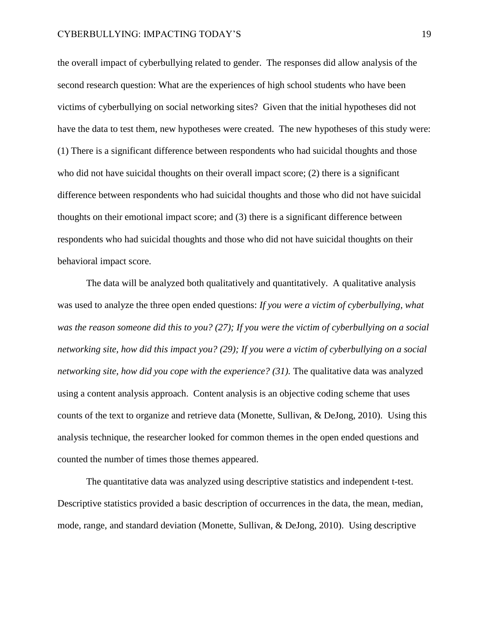the overall impact of cyberbullying related to gender. The responses did allow analysis of the second research question: What are the experiences of high school students who have been victims of cyberbullying on social networking sites? Given that the initial hypotheses did not have the data to test them, new hypotheses were created. The new hypotheses of this study were: (1) There is a significant difference between respondents who had suicidal thoughts and those who did not have suicidal thoughts on their overall impact score; (2) there is a significant difference between respondents who had suicidal thoughts and those who did not have suicidal thoughts on their emotional impact score; and (3) there is a significant difference between respondents who had suicidal thoughts and those who did not have suicidal thoughts on their behavioral impact score.

The data will be analyzed both qualitatively and quantitatively. A qualitative analysis was used to analyze the three open ended questions: *If you were a victim of cyberbullying, what was the reason someone did this to you? (27); If you were the victim of cyberbullying on a social networking site, how did this impact you? (29); If you were a victim of cyberbullying on a social networking site, how did you cope with the experience? (31).* The qualitative data was analyzed using a content analysis approach. Content analysis is an objective coding scheme that uses counts of the text to organize and retrieve data (Monette, Sullivan, & DeJong, 2010). Using this analysis technique, the researcher looked for common themes in the open ended questions and counted the number of times those themes appeared.

The quantitative data was analyzed using descriptive statistics and independent t-test. Descriptive statistics provided a basic description of occurrences in the data, the mean, median, mode, range, and standard deviation (Monette, Sullivan, & DeJong, 2010). Using descriptive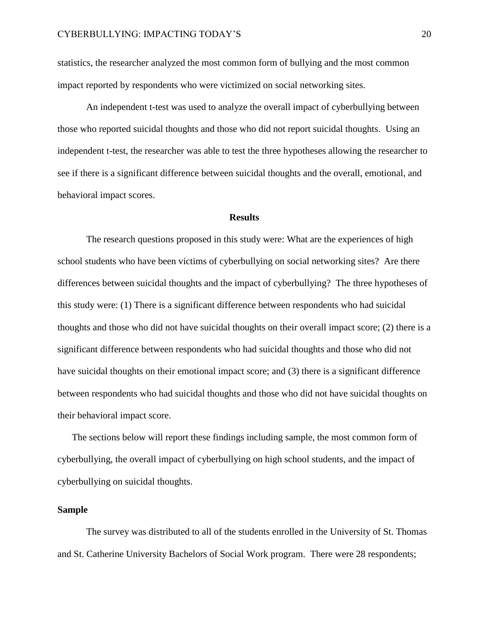statistics, the researcher analyzed the most common form of bullying and the most common impact reported by respondents who were victimized on social networking sites.

An independent t-test was used to analyze the overall impact of cyberbullying between those who reported suicidal thoughts and those who did not report suicidal thoughts. Using an independent t-test, the researcher was able to test the three hypotheses allowing the researcher to see if there is a significant difference between suicidal thoughts and the overall, emotional, and behavioral impact scores.

#### **Results**

The research questions proposed in this study were: What are the experiences of high school students who have been victims of cyberbullying on social networking sites? Are there differences between suicidal thoughts and the impact of cyberbullying? The three hypotheses of this study were: (1) There is a significant difference between respondents who had suicidal thoughts and those who did not have suicidal thoughts on their overall impact score; (2) there is a significant difference between respondents who had suicidal thoughts and those who did not have suicidal thoughts on their emotional impact score; and (3) there is a significant difference between respondents who had suicidal thoughts and those who did not have suicidal thoughts on their behavioral impact score.

The sections below will report these findings including sample, the most common form of cyberbullying, the overall impact of cyberbullying on high school students, and the impact of cyberbullying on suicidal thoughts.

#### **Sample**

The survey was distributed to all of the students enrolled in the University of St. Thomas and St. Catherine University Bachelors of Social Work program. There were 28 respondents;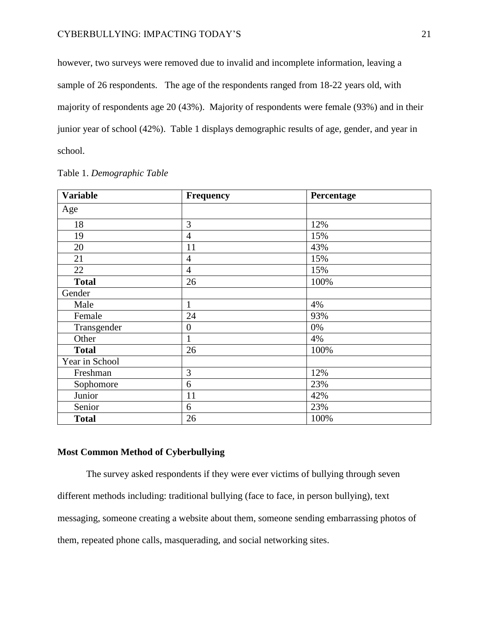however, two surveys were removed due to invalid and incomplete information, leaving a sample of 26 respondents. The age of the respondents ranged from 18-22 years old, with majority of respondents age 20 (43%). Majority of respondents were female (93%) and in their junior year of school (42%). Table 1 displays demographic results of age, gender, and year in school.

| <b>Variable</b> | <b>Frequency</b> | Percentage |  |
|-----------------|------------------|------------|--|
| Age             |                  |            |  |
| 18              | 3                | 12%        |  |
| 19              | $\overline{4}$   | 15%        |  |
| 20              | 11               | 43%        |  |
| 21              | $\overline{4}$   | 15%        |  |
| 22              | $\overline{4}$   | 15%        |  |
| <b>Total</b>    | 26               | 100%       |  |
| Gender          |                  |            |  |
| Male            | $\mathbf{1}$     | 4%         |  |
| Female          | 24               | 93%        |  |
| Transgender     | $\boldsymbol{0}$ | 0%         |  |
| Other           | $\mathbf{1}$     | 4%         |  |
| <b>Total</b>    | 26               | 100%       |  |
| Year in School  |                  |            |  |
| Freshman        | 3                | 12%        |  |
| Sophomore       | 6                | 23%        |  |
| Junior          | 11               | 42%        |  |
| Senior          | 6                | 23%        |  |
| <b>Total</b>    | 26               | 100%       |  |

# Table 1. *Demographic Table*

# **Most Common Method of Cyberbullying**

The survey asked respondents if they were ever victims of bullying through seven different methods including: traditional bullying (face to face, in person bullying), text messaging, someone creating a website about them, someone sending embarrassing photos of them, repeated phone calls, masquerading, and social networking sites.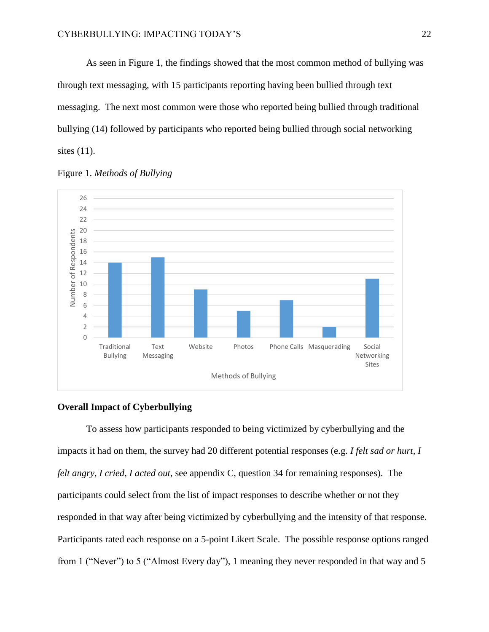As seen in Figure 1, the findings showed that the most common method of bullying was through text messaging, with 15 participants reporting having been bullied through text messaging. The next most common were those who reported being bullied through traditional bullying (14) followed by participants who reported being bullied through social networking sites (11).





#### **Overall Impact of Cyberbullying**

To assess how participants responded to being victimized by cyberbullying and the impacts it had on them, the survey had 20 different potential responses (e.g. *I felt sad or hurt, I felt angry, I cried, I acted out,* see appendix C, question 34 for remaining responses). The participants could select from the list of impact responses to describe whether or not they responded in that way after being victimized by cyberbullying and the intensity of that response. Participants rated each response on a 5-point Likert Scale. The possible response options ranged from 1 ("Never") to 5 ("Almost Every day"), 1 meaning they never responded in that way and 5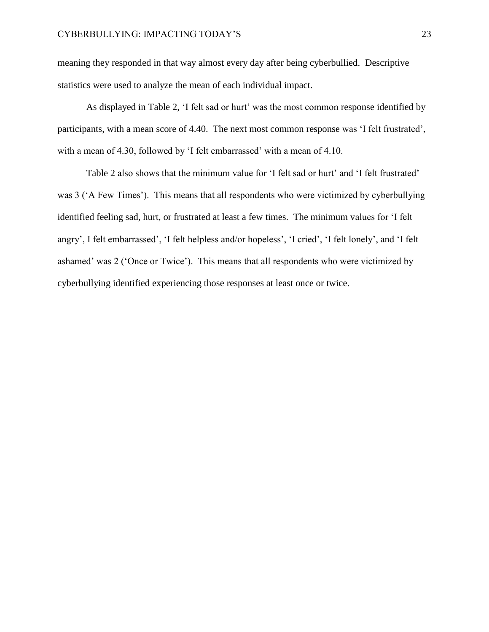meaning they responded in that way almost every day after being cyberbullied. Descriptive statistics were used to analyze the mean of each individual impact.

As displayed in Table 2, 'I felt sad or hurt' was the most common response identified by participants, with a mean score of 4.40. The next most common response was 'I felt frustrated', with a mean of 4.30, followed by 'I felt embarrassed' with a mean of 4.10.

Table 2 also shows that the minimum value for 'I felt sad or hurt' and 'I felt frustrated' was 3 ('A Few Times'). This means that all respondents who were victimized by cyberbullying identified feeling sad, hurt, or frustrated at least a few times. The minimum values for 'I felt angry', I felt embarrassed', 'I felt helpless and/or hopeless', 'I cried', 'I felt lonely', and 'I felt ashamed' was 2 ('Once or Twice'). This means that all respondents who were victimized by cyberbullying identified experiencing those responses at least once or twice.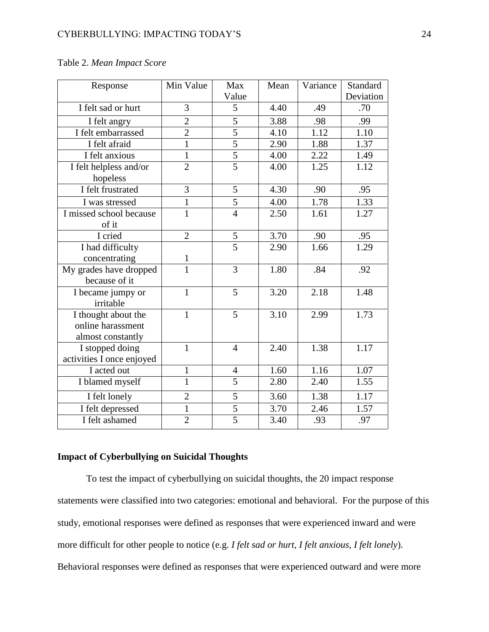| Response                                                      | Min Value      | Max            | Mean | Variance | Standard  |
|---------------------------------------------------------------|----------------|----------------|------|----------|-----------|
|                                                               |                | Value          |      |          | Deviation |
| I felt sad or hurt                                            | 3              | 5              | 4.40 | .49      | .70       |
| I felt angry                                                  | $\overline{2}$ | 5              | 3.88 | .98      | .99       |
| I felt embarrassed                                            | $\overline{2}$ | 5              | 4.10 | 1.12     | 1.10      |
| I felt afraid                                                 | $\mathbf{1}$   | $\overline{5}$ | 2.90 | 1.88     | 1.37      |
| I felt anxious                                                | $\mathbf{1}$   | $\frac{5}{5}$  | 4.00 | 2.22     | 1.49      |
| I felt helpless and/or<br>hopeless                            | $\overline{2}$ |                | 4.00 | 1.25     | 1.12      |
| I felt frustrated                                             | 3              | 5              | 4.30 | .90      | .95       |
| I was stressed                                                | $\mathbf{1}$   | 5              | 4.00 | 1.78     | 1.33      |
| I missed school because<br>of it                              | $\overline{1}$ | $\frac{1}{4}$  | 2.50 | 1.61     | 1.27      |
| I cried                                                       | $\overline{2}$ | 5              | 3.70 | .90      | .95       |
| I had difficulty                                              |                | $\overline{5}$ | 2.90 | 1.66     | 1.29      |
| concentrating                                                 | $\mathbf{1}$   |                |      |          |           |
| My grades have dropped<br>because of it                       | $\overline{1}$ | 3              | 1.80 | .84      | .92       |
| I became jumpy or<br>irritable                                | $\mathbf{1}$   | 5              | 3.20 | 2.18     | 1.48      |
| I thought about the<br>online harassment<br>almost constantly | $\mathbf{1}$   | 5              | 3.10 | 2.99     | 1.73      |
| I stopped doing<br>activities I once enjoyed                  | $\mathbf{1}$   | 4              | 2.40 | 1.38     | 1.17      |
| I acted out                                                   | $\mathbf{1}$   | $\overline{4}$ | 1.60 | 1.16     | 1.07      |
| I blamed myself                                               | $\mathbf{1}$   | 5              | 2.80 | 2.40     | 1.55      |
| I felt lonely                                                 | $\overline{2}$ | 5              | 3.60 | 1.38     | 1.17      |
| I felt depressed                                              | $\mathbf{1}$   | 5              | 3.70 | 2.46     | 1.57      |
| I felt ashamed                                                | $\overline{2}$ | $\overline{5}$ | 3.40 | .93      | .97       |

#### Table 2. *Mean Impact Score*

#### **Impact of Cyberbullying on Suicidal Thoughts**

To test the impact of cyberbullying on suicidal thoughts, the 20 impact response statements were classified into two categories: emotional and behavioral. For the purpose of this study, emotional responses were defined as responses that were experienced inward and were more difficult for other people to notice (e.g. *I felt sad or hurt, I felt anxious, I felt lonely*). Behavioral responses were defined as responses that were experienced outward and were more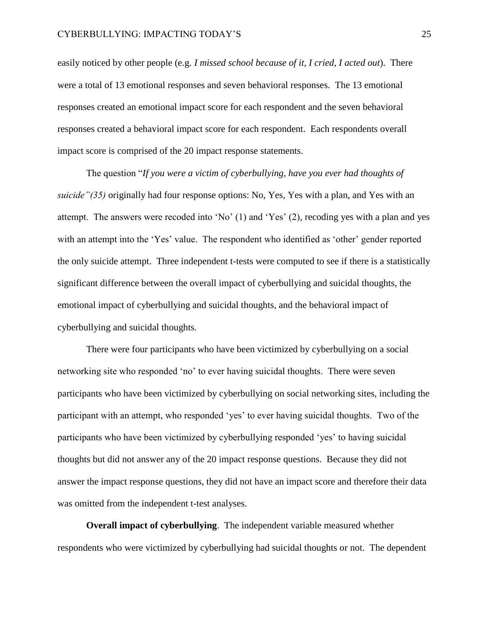easily noticed by other people (e.g. *I missed school because of it, I cried, I acted out*). There were a total of 13 emotional responses and seven behavioral responses. The 13 emotional responses created an emotional impact score for each respondent and the seven behavioral responses created a behavioral impact score for each respondent. Each respondents overall impact score is comprised of the 20 impact response statements.

The question "*If you were a victim of cyberbullying, have you ever had thoughts of suicide"(35)* originally had four response options: No, Yes, Yes with a plan, and Yes with an attempt. The answers were recoded into 'No'  $(1)$  and 'Yes'  $(2)$ , recoding yes with a plan and yes with an attempt into the 'Yes' value. The respondent who identified as 'other' gender reported the only suicide attempt. Three independent t-tests were computed to see if there is a statistically significant difference between the overall impact of cyberbullying and suicidal thoughts, the emotional impact of cyberbullying and suicidal thoughts, and the behavioral impact of cyberbullying and suicidal thoughts.

There were four participants who have been victimized by cyberbullying on a social networking site who responded 'no' to ever having suicidal thoughts. There were seven participants who have been victimized by cyberbullying on social networking sites, including the participant with an attempt, who responded 'yes' to ever having suicidal thoughts. Two of the participants who have been victimized by cyberbullying responded 'yes' to having suicidal thoughts but did not answer any of the 20 impact response questions. Because they did not answer the impact response questions, they did not have an impact score and therefore their data was omitted from the independent t-test analyses.

**Overall impact of cyberbullying**. The independent variable measured whether respondents who were victimized by cyberbullying had suicidal thoughts or not. The dependent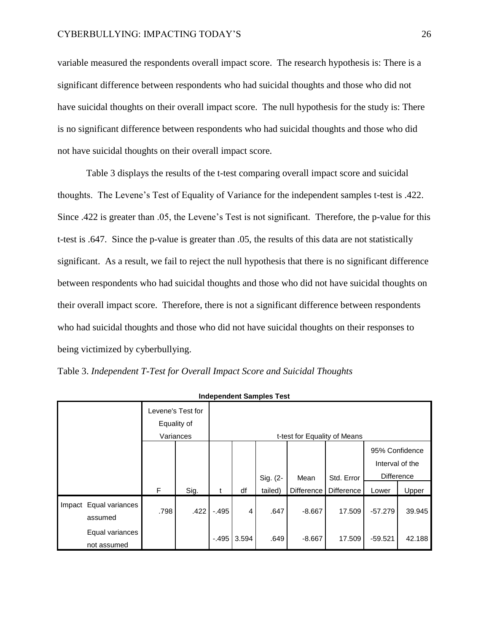variable measured the respondents overall impact score. The research hypothesis is: There is a significant difference between respondents who had suicidal thoughts and those who did not have suicidal thoughts on their overall impact score. The null hypothesis for the study is: There is no significant difference between respondents who had suicidal thoughts and those who did not have suicidal thoughts on their overall impact score.

Table 3 displays the results of the t-test comparing overall impact score and suicidal thoughts. The Levene's Test of Equality of Variance for the independent samples t-test is .422. Since .422 is greater than .05, the Levene's Test is not significant. Therefore, the p-value for this t-test is .647. Since the p-value is greater than .05, the results of this data are not statistically significant. As a result, we fail to reject the null hypothesis that there is no significant difference between respondents who had suicidal thoughts and those who did not have suicidal thoughts on their overall impact score. Therefore, there is not a significant difference between respondents who had suicidal thoughts and those who did not have suicidal thoughts on their responses to being victimized by cyberbullying.

Table 3. *Independent T-Test for Overall Impact Score and Suicidal Thoughts*

| muepenuent Samples Test           |                                |                                               |      |         |       |          |                              |                   |                                                 |        |
|-----------------------------------|--------------------------------|-----------------------------------------------|------|---------|-------|----------|------------------------------|-------------------|-------------------------------------------------|--------|
|                                   |                                | Levene's Test for<br>Equality of<br>Variances |      |         |       |          | t-test for Equality of Means |                   |                                                 |        |
|                                   |                                |                                               |      |         |       | Sig. (2- | Mean                         | Std. Error        | 95% Confidence<br>Interval of the<br>Difference |        |
|                                   |                                | F                                             | Sig. | t       | df    | tailed)  | Difference                   | <b>Difference</b> | Lower                                           | Upper  |
| Impact Equal variances<br>assumed |                                | .798                                          | .422 | $-.495$ | 4     | .647     | $-8.667$                     | 17.509            | $-57.279$                                       | 39.945 |
|                                   | Equal variances<br>not assumed |                                               |      | $-.495$ | 3.594 | .649     | $-8.667$                     | 17.509            | $-59.521$                                       | 42.188 |

**Independent Samples Test**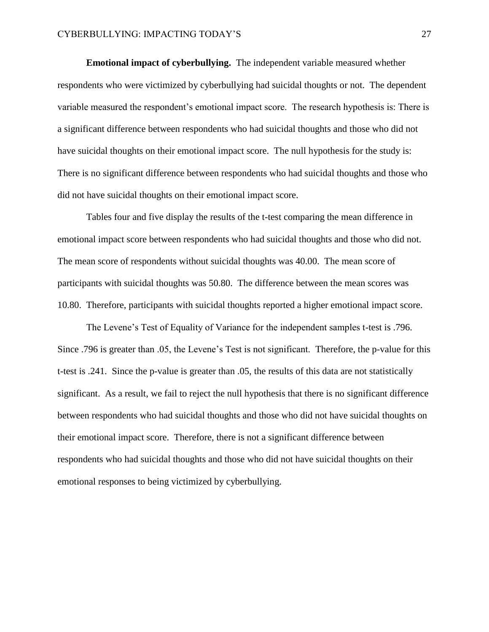**Emotional impact of cyberbullying.** The independent variable measured whether respondents who were victimized by cyberbullying had suicidal thoughts or not. The dependent variable measured the respondent's emotional impact score. The research hypothesis is: There is a significant difference between respondents who had suicidal thoughts and those who did not have suicidal thoughts on their emotional impact score. The null hypothesis for the study is: There is no significant difference between respondents who had suicidal thoughts and those who did not have suicidal thoughts on their emotional impact score.

Tables four and five display the results of the t-test comparing the mean difference in emotional impact score between respondents who had suicidal thoughts and those who did not. The mean score of respondents without suicidal thoughts was 40.00. The mean score of participants with suicidal thoughts was 50.80. The difference between the mean scores was 10.80. Therefore, participants with suicidal thoughts reported a higher emotional impact score.

The Levene's Test of Equality of Variance for the independent samples t-test is .796. Since .796 is greater than .05, the Levene's Test is not significant. Therefore, the p-value for this t-test is .241. Since the p-value is greater than .05, the results of this data are not statistically significant. As a result, we fail to reject the null hypothesis that there is no significant difference between respondents who had suicidal thoughts and those who did not have suicidal thoughts on their emotional impact score. Therefore, there is not a significant difference between respondents who had suicidal thoughts and those who did not have suicidal thoughts on their emotional responses to being victimized by cyberbullying.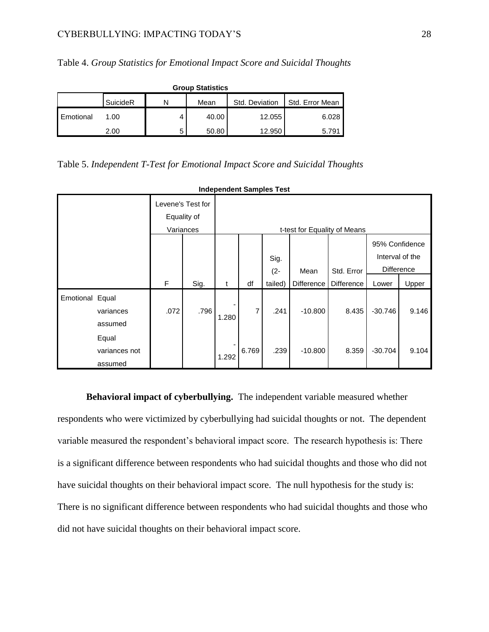| <b>Group Statistics</b> |          |   |       |                |                 |  |  |  |
|-------------------------|----------|---|-------|----------------|-----------------|--|--|--|
|                         | SuicideR | N | Mean  | Std. Deviation | Std. Error Mean |  |  |  |
| <b>I</b> Emotional      | 1.00     |   | 40.00 | 12.055         | 6.028           |  |  |  |
|                         | 2.00     | 5 | 50.80 | 12.950         | 5.791           |  |  |  |

Table 4. *Group Statistics for Emotional Impact Score and Suicidal Thoughts*

Table 5. *Independent T-Test for Emotional Impact Score and Suicidal Thoughts*

| muependent Samples Test |                                   |                                  |      |       |                              |         |            |            |                   |                 |
|-------------------------|-----------------------------------|----------------------------------|------|-------|------------------------------|---------|------------|------------|-------------------|-----------------|
|                         |                                   | Levene's Test for<br>Equality of |      |       |                              |         |            |            |                   |                 |
|                         |                                   | Variances                        |      |       | t-test for Equality of Means |         |            |            |                   |                 |
|                         |                                   | 95% Confidence                   |      |       |                              |         |            |            |                   |                 |
|                         |                                   |                                  |      |       |                              | Sig.    |            |            |                   | Interval of the |
|                         |                                   |                                  |      |       |                              | $(2 -$  | Mean       | Std. Error | <b>Difference</b> |                 |
|                         |                                   | F                                | Sig. | t     | df                           | tailed) | Difference | Difference | Lower             | Upper           |
| Emotional Equal         | variances<br>assumed              | .072                             | .796 | 1.280 | $\overline{7}$               | .241    | $-10.800$  | 8.435      | $-30.746$         | 9.146           |
|                         | Equal<br>variances not<br>assumed |                                  |      | 1.292 | 6.769                        | .239    | $-10.800$  | 8.359      | $-30.704$         | 9.104           |

**Independent Samples Test**

**Behavioral impact of cyberbullying.** The independent variable measured whether respondents who were victimized by cyberbullying had suicidal thoughts or not. The dependent variable measured the respondent's behavioral impact score. The research hypothesis is: There is a significant difference between respondents who had suicidal thoughts and those who did not have suicidal thoughts on their behavioral impact score. The null hypothesis for the study is: There is no significant difference between respondents who had suicidal thoughts and those who did not have suicidal thoughts on their behavioral impact score.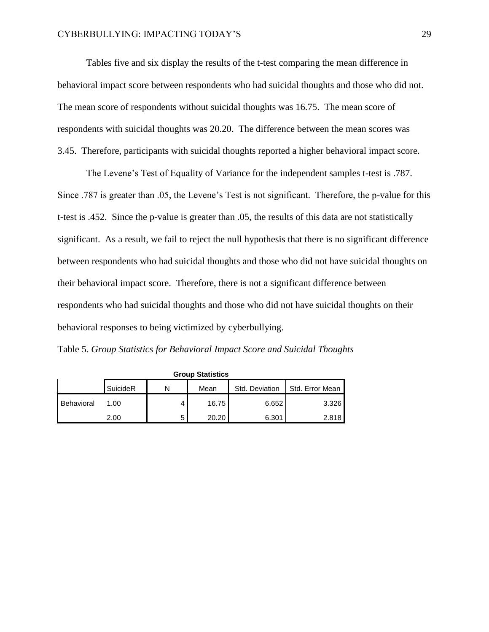Tables five and six display the results of the t-test comparing the mean difference in behavioral impact score between respondents who had suicidal thoughts and those who did not. The mean score of respondents without suicidal thoughts was 16.75. The mean score of respondents with suicidal thoughts was 20.20. The difference between the mean scores was 3.45. Therefore, participants with suicidal thoughts reported a higher behavioral impact score.

The Levene's Test of Equality of Variance for the independent samples t-test is .787. Since .787 is greater than .05, the Levene's Test is not significant. Therefore, the p-value for this t-test is .452. Since the p-value is greater than .05, the results of this data are not statistically significant. As a result, we fail to reject the null hypothesis that there is no significant difference between respondents who had suicidal thoughts and those who did not have suicidal thoughts on their behavioral impact score. Therefore, there is not a significant difference between respondents who had suicidal thoughts and those who did not have suicidal thoughts on their behavioral responses to being victimized by cyberbullying.

Table 5. *Group Statistics for Behavioral Impact Score and Suicidal Thoughts*

| Group Statistics |          |   |       |                |                 |  |  |  |
|------------------|----------|---|-------|----------------|-----------------|--|--|--|
|                  | SuicideR | N | Mean  | Std. Deviation | Std. Error Mean |  |  |  |
| Behavioral       | 1.00     |   | 16.75 | 6.652          | 3.326           |  |  |  |
|                  | 2.00     | b | 20.20 | 6.301          | 2.818           |  |  |  |

**Group Statistics**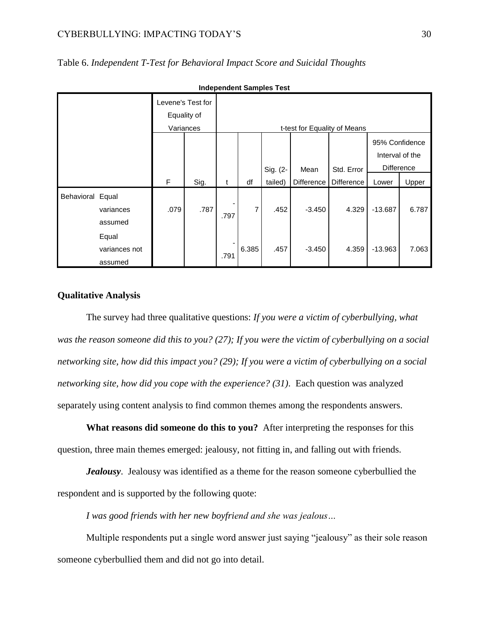#### CYBERBULLYING: IMPACTING TODAY'S 30

| <b>Independent Samples Test</b> |                                   |                                               |      |      |       |          |                              |                   |                                                        |       |
|---------------------------------|-----------------------------------|-----------------------------------------------|------|------|-------|----------|------------------------------|-------------------|--------------------------------------------------------|-------|
|                                 |                                   | Levene's Test for<br>Equality of<br>Variances |      |      |       |          | t-test for Equality of Means |                   |                                                        |       |
|                                 |                                   |                                               |      |      |       | Sig. (2- | Mean                         | Std. Error        | 95% Confidence<br>Interval of the<br><b>Difference</b> |       |
|                                 |                                   | $\mathsf F$                                   | Sig. | t    | df    | tailed)  | <b>Difference</b>            | <b>Difference</b> | Lower                                                  | Upper |
| Behavioral Equal                | variances<br>assumed              | .079                                          | .787 | .797 | 7     | .452     | $-3.450$                     | 4.329             | $-13.687$                                              | 6.787 |
|                                 | Equal<br>variances not<br>assumed |                                               |      | .791 | 6.385 | .457     | $-3.450$                     | 4.359             | $-13.963$                                              | 7.063 |

Table 6. *Independent T-Test for Behavioral Impact Score and Suicidal Thoughts*

#### **Qualitative Analysis**

The survey had three qualitative questions: *If you were a victim of cyberbullying, what was the reason someone did this to you? (27); If you were the victim of cyberbullying on a social networking site, how did this impact you? (29); If you were a victim of cyberbullying on a social networking site, how did you cope with the experience? (31)*. Each question was analyzed separately using content analysis to find common themes among the respondents answers.

**What reasons did someone do this to you?** After interpreting the responses for this question, three main themes emerged: jealousy, not fitting in, and falling out with friends.

*Jealousy*. Jealousy was identified as a theme for the reason someone cyberbullied the respondent and is supported by the following quote:

*I was good friends with her new boyfriend and she was jealous…*

Multiple respondents put a single word answer just saying "jealousy" as their sole reason someone cyberbullied them and did not go into detail.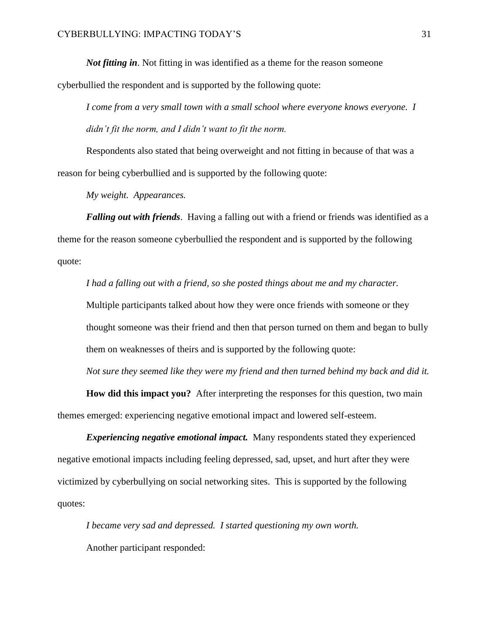*Not fitting in*. Not fitting in was identified as a theme for the reason someone

cyberbullied the respondent and is supported by the following quote:

*I come from a very small town with a small school where everyone knows everyone. I didn't fit the norm, and I didn't want to fit the norm.*

Respondents also stated that being overweight and not fitting in because of that was a reason for being cyberbullied and is supported by the following quote:

*My weight. Appearances.*

*Falling out with friends*. Having a falling out with a friend or friends was identified as a theme for the reason someone cyberbullied the respondent and is supported by the following quote:

*I had a falling out with a friend, so she posted things about me and my character.* Multiple participants talked about how they were once friends with someone or they thought someone was their friend and then that person turned on them and began to bully them on weaknesses of theirs and is supported by the following quote:

*Not sure they seemed like they were my friend and then turned behind my back and did it.*

**How did this impact you?** After interpreting the responses for this question, two main themes emerged: experiencing negative emotional impact and lowered self-esteem.

*Experiencing negative emotional impact.* Many respondents stated they experienced negative emotional impacts including feeling depressed, sad, upset, and hurt after they were victimized by cyberbullying on social networking sites. This is supported by the following quotes:

*I became very sad and depressed. I started questioning my own worth.* Another participant responded: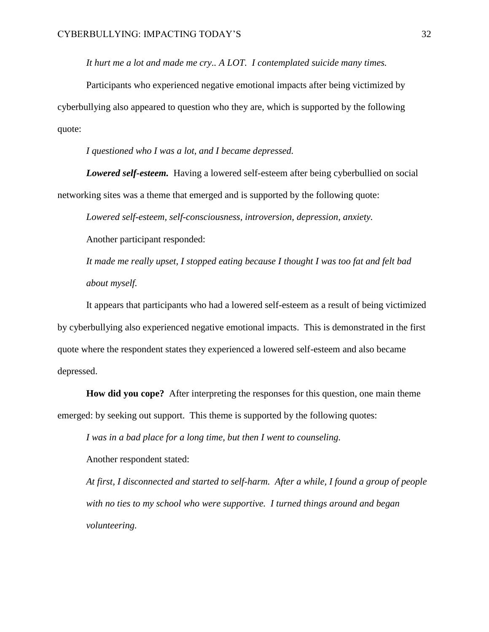*It hurt me a lot and made me cry.. A LOT. I contemplated suicide many times.*

Participants who experienced negative emotional impacts after being victimized by cyberbullying also appeared to question who they are, which is supported by the following quote:

*I questioned who I was a lot, and I became depressed.*

*Lowered self-esteem.* Having a lowered self-esteem after being cyberbullied on social networking sites was a theme that emerged and is supported by the following quote:

*Lowered self-esteem, self-consciousness, introversion, depression, anxiety.*

Another participant responded:

*It made me really upset, I stopped eating because I thought I was too fat and felt bad about myself.*

It appears that participants who had a lowered self-esteem as a result of being victimized by cyberbullying also experienced negative emotional impacts. This is demonstrated in the first quote where the respondent states they experienced a lowered self-esteem and also became depressed.

**How did you cope?** After interpreting the responses for this question, one main theme emerged: by seeking out support. This theme is supported by the following quotes:

*I was in a bad place for a long time, but then I went to counseling.*

Another respondent stated:

*At first, I disconnected and started to self-harm. After a while, I found a group of people with no ties to my school who were supportive. I turned things around and began volunteering.*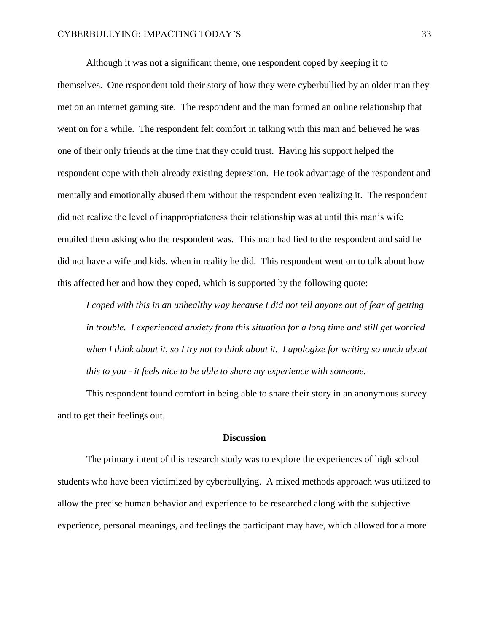Although it was not a significant theme, one respondent coped by keeping it to themselves. One respondent told their story of how they were cyberbullied by an older man they met on an internet gaming site. The respondent and the man formed an online relationship that went on for a while. The respondent felt comfort in talking with this man and believed he was one of their only friends at the time that they could trust. Having his support helped the respondent cope with their already existing depression. He took advantage of the respondent and mentally and emotionally abused them without the respondent even realizing it. The respondent did not realize the level of inappropriateness their relationship was at until this man's wife emailed them asking who the respondent was. This man had lied to the respondent and said he did not have a wife and kids, when in reality he did. This respondent went on to talk about how this affected her and how they coped, which is supported by the following quote:

*I coped with this in an unhealthy way because I did not tell anyone out of fear of getting in trouble. I experienced anxiety from this situation for a long time and still get worried when I think about it, so I try not to think about it. I apologize for writing so much about this to you - it feels nice to be able to share my experience with someone.*

This respondent found comfort in being able to share their story in an anonymous survey and to get their feelings out.

#### **Discussion**

The primary intent of this research study was to explore the experiences of high school students who have been victimized by cyberbullying. A mixed methods approach was utilized to allow the precise human behavior and experience to be researched along with the subjective experience, personal meanings, and feelings the participant may have, which allowed for a more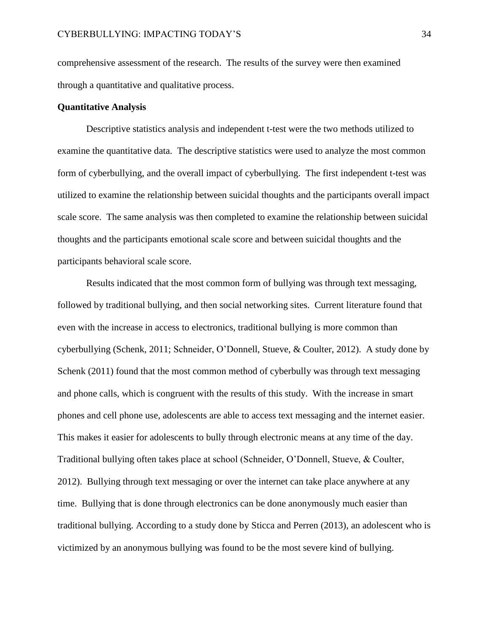comprehensive assessment of the research. The results of the survey were then examined through a quantitative and qualitative process.

#### **Quantitative Analysis**

Descriptive statistics analysis and independent t-test were the two methods utilized to examine the quantitative data. The descriptive statistics were used to analyze the most common form of cyberbullying, and the overall impact of cyberbullying. The first independent t-test was utilized to examine the relationship between suicidal thoughts and the participants overall impact scale score. The same analysis was then completed to examine the relationship between suicidal thoughts and the participants emotional scale score and between suicidal thoughts and the participants behavioral scale score.

Results indicated that the most common form of bullying was through text messaging, followed by traditional bullying, and then social networking sites. Current literature found that even with the increase in access to electronics, traditional bullying is more common than cyberbullying (Schenk, 2011; Schneider, O'Donnell, Stueve, & Coulter, 2012). A study done by Schenk (2011) found that the most common method of cyberbully was through text messaging and phone calls, which is congruent with the results of this study. With the increase in smart phones and cell phone use, adolescents are able to access text messaging and the internet easier. This makes it easier for adolescents to bully through electronic means at any time of the day. Traditional bullying often takes place at school (Schneider, O'Donnell, Stueve, & Coulter, 2012). Bullying through text messaging or over the internet can take place anywhere at any time. Bullying that is done through electronics can be done anonymously much easier than traditional bullying. According to a study done by Sticca and Perren (2013), an adolescent who is victimized by an anonymous bullying was found to be the most severe kind of bullying.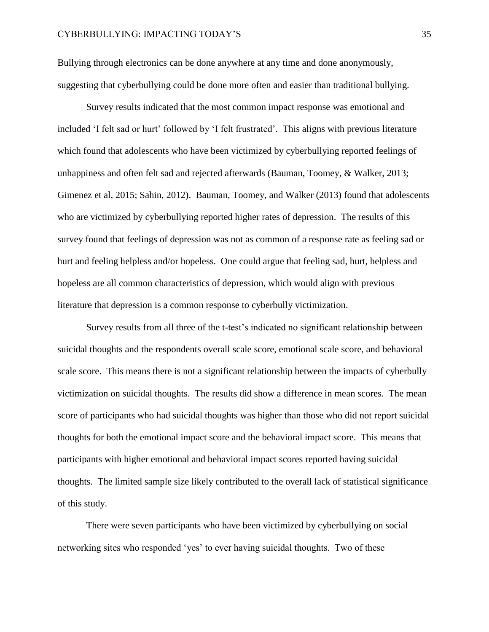Bullying through electronics can be done anywhere at any time and done anonymously, suggesting that cyberbullying could be done more often and easier than traditional bullying.

Survey results indicated that the most common impact response was emotional and included 'I felt sad or hurt' followed by 'I felt frustrated'. This aligns with previous literature which found that adolescents who have been victimized by cyberbullying reported feelings of unhappiness and often felt sad and rejected afterwards (Bauman, Toomey, & Walker, 2013; Gimenez et al, 2015; Sahin, 2012). Bauman, Toomey, and Walker (2013) found that adolescents who are victimized by cyberbullying reported higher rates of depression. The results of this survey found that feelings of depression was not as common of a response rate as feeling sad or hurt and feeling helpless and/or hopeless. One could argue that feeling sad, hurt, helpless and hopeless are all common characteristics of depression, which would align with previous literature that depression is a common response to cyberbully victimization.

Survey results from all three of the t-test's indicated no significant relationship between suicidal thoughts and the respondents overall scale score, emotional scale score, and behavioral scale score. This means there is not a significant relationship between the impacts of cyberbully victimization on suicidal thoughts. The results did show a difference in mean scores. The mean score of participants who had suicidal thoughts was higher than those who did not report suicidal thoughts for both the emotional impact score and the behavioral impact score. This means that participants with higher emotional and behavioral impact scores reported having suicidal thoughts. The limited sample size likely contributed to the overall lack of statistical significance of this study.

There were seven participants who have been victimized by cyberbullying on social networking sites who responded 'yes' to ever having suicidal thoughts. Two of these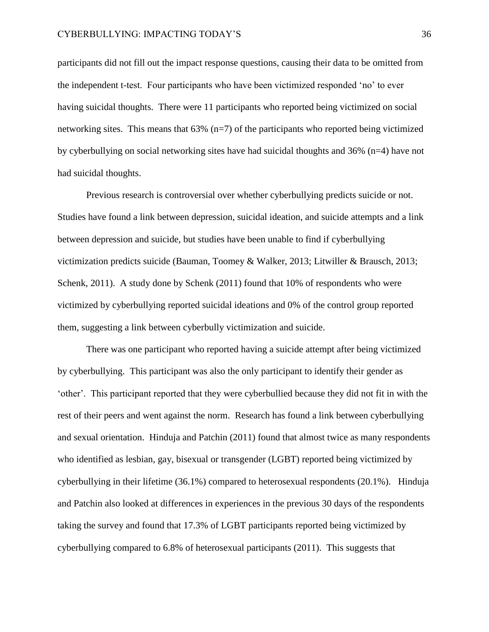participants did not fill out the impact response questions, causing their data to be omitted from the independent t-test. Four participants who have been victimized responded 'no' to ever having suicidal thoughts. There were 11 participants who reported being victimized on social networking sites. This means that  $63\%$  (n=7) of the participants who reported being victimized by cyberbullying on social networking sites have had suicidal thoughts and 36% (n=4) have not had suicidal thoughts.

Previous research is controversial over whether cyberbullying predicts suicide or not. Studies have found a link between depression, suicidal ideation, and suicide attempts and a link between depression and suicide, but studies have been unable to find if cyberbullying victimization predicts suicide (Bauman, Toomey & Walker, 2013; Litwiller & Brausch, 2013; Schenk, 2011). A study done by Schenk (2011) found that 10% of respondents who were victimized by cyberbullying reported suicidal ideations and 0% of the control group reported them, suggesting a link between cyberbully victimization and suicide.

There was one participant who reported having a suicide attempt after being victimized by cyberbullying. This participant was also the only participant to identify their gender as 'other'. This participant reported that they were cyberbullied because they did not fit in with the rest of their peers and went against the norm. Research has found a link between cyberbullying and sexual orientation. Hinduja and Patchin (2011) found that almost twice as many respondents who identified as lesbian, gay, bisexual or transgender (LGBT) reported being victimized by cyberbullying in their lifetime (36.1%) compared to heterosexual respondents (20.1%). Hinduja and Patchin also looked at differences in experiences in the previous 30 days of the respondents taking the survey and found that 17.3% of LGBT participants reported being victimized by cyberbullying compared to 6.8% of heterosexual participants (2011). This suggests that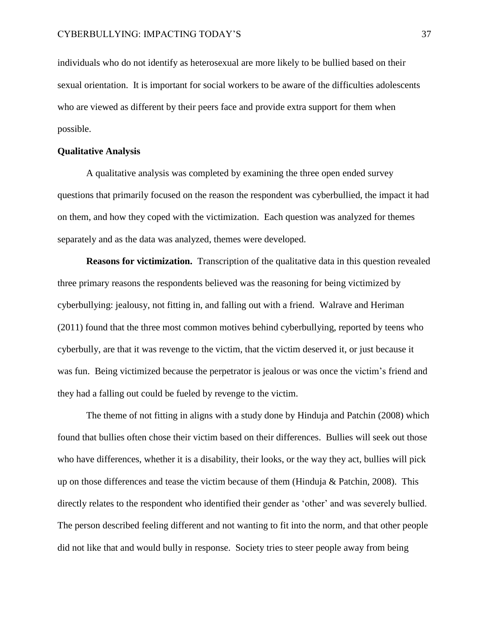individuals who do not identify as heterosexual are more likely to be bullied based on their sexual orientation. It is important for social workers to be aware of the difficulties adolescents who are viewed as different by their peers face and provide extra support for them when possible.

#### **Qualitative Analysis**

A qualitative analysis was completed by examining the three open ended survey questions that primarily focused on the reason the respondent was cyberbullied, the impact it had on them, and how they coped with the victimization. Each question was analyzed for themes separately and as the data was analyzed, themes were developed.

**Reasons for victimization.** Transcription of the qualitative data in this question revealed three primary reasons the respondents believed was the reasoning for being victimized by cyberbullying: jealousy, not fitting in, and falling out with a friend. Walrave and Heriman (2011) found that the three most common motives behind cyberbullying, reported by teens who cyberbully, are that it was revenge to the victim, that the victim deserved it, or just because it was fun. Being victimized because the perpetrator is jealous or was once the victim's friend and they had a falling out could be fueled by revenge to the victim.

The theme of not fitting in aligns with a study done by Hinduja and Patchin (2008) which found that bullies often chose their victim based on their differences. Bullies will seek out those who have differences, whether it is a disability, their looks, or the way they act, bullies will pick up on those differences and tease the victim because of them (Hinduja & Patchin, 2008). This directly relates to the respondent who identified their gender as 'other' and was severely bullied. The person described feeling different and not wanting to fit into the norm, and that other people did not like that and would bully in response. Society tries to steer people away from being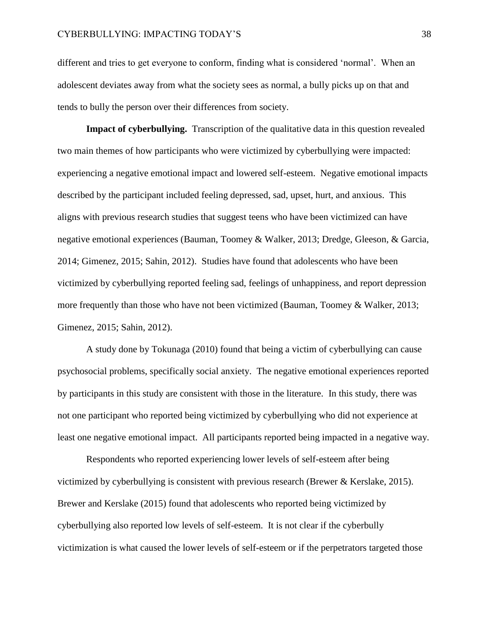different and tries to get everyone to conform, finding what is considered 'normal'. When an adolescent deviates away from what the society sees as normal, a bully picks up on that and tends to bully the person over their differences from society.

**Impact of cyberbullying.** Transcription of the qualitative data in this question revealed two main themes of how participants who were victimized by cyberbullying were impacted: experiencing a negative emotional impact and lowered self-esteem. Negative emotional impacts described by the participant included feeling depressed, sad, upset, hurt, and anxious. This aligns with previous research studies that suggest teens who have been victimized can have negative emotional experiences (Bauman, Toomey & Walker, 2013; Dredge, Gleeson, & Garcia, 2014; Gimenez, 2015; Sahin, 2012). Studies have found that adolescents who have been victimized by cyberbullying reported feeling sad, feelings of unhappiness, and report depression more frequently than those who have not been victimized (Bauman, Toomey & Walker, 2013; Gimenez, 2015; Sahin, 2012).

A study done by Tokunaga (2010) found that being a victim of cyberbullying can cause psychosocial problems, specifically social anxiety. The negative emotional experiences reported by participants in this study are consistent with those in the literature. In this study, there was not one participant who reported being victimized by cyberbullying who did not experience at least one negative emotional impact. All participants reported being impacted in a negative way.

Respondents who reported experiencing lower levels of self-esteem after being victimized by cyberbullying is consistent with previous research (Brewer & Kerslake, 2015). Brewer and Kerslake (2015) found that adolescents who reported being victimized by cyberbullying also reported low levels of self-esteem. It is not clear if the cyberbully victimization is what caused the lower levels of self-esteem or if the perpetrators targeted those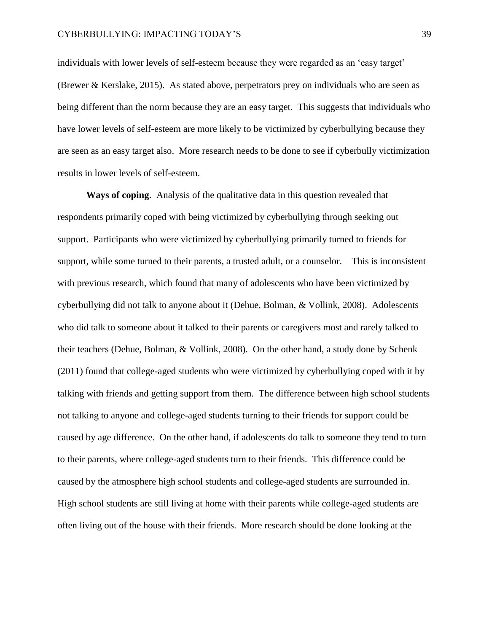individuals with lower levels of self-esteem because they were regarded as an 'easy target' (Brewer & Kerslake, 2015). As stated above, perpetrators prey on individuals who are seen as being different than the norm because they are an easy target. This suggests that individuals who have lower levels of self-esteem are more likely to be victimized by cyberbullying because they are seen as an easy target also. More research needs to be done to see if cyberbully victimization results in lower levels of self-esteem.

**Ways of coping**. Analysis of the qualitative data in this question revealed that respondents primarily coped with being victimized by cyberbullying through seeking out support. Participants who were victimized by cyberbullying primarily turned to friends for support, while some turned to their parents, a trusted adult, or a counselor. This is inconsistent with previous research, which found that many of adolescents who have been victimized by cyberbullying did not talk to anyone about it (Dehue, Bolman, & Vollink, 2008). Adolescents who did talk to someone about it talked to their parents or caregivers most and rarely talked to their teachers (Dehue, Bolman, & Vollink, 2008). On the other hand, a study done by Schenk (2011) found that college-aged students who were victimized by cyberbullying coped with it by talking with friends and getting support from them. The difference between high school students not talking to anyone and college-aged students turning to their friends for support could be caused by age difference. On the other hand, if adolescents do talk to someone they tend to turn to their parents, where college-aged students turn to their friends. This difference could be caused by the atmosphere high school students and college-aged students are surrounded in. High school students are still living at home with their parents while college-aged students are often living out of the house with their friends. More research should be done looking at the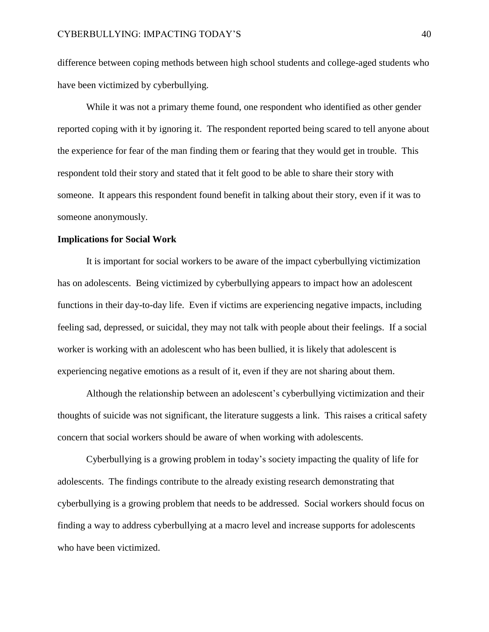difference between coping methods between high school students and college-aged students who have been victimized by cyberbullying.

While it was not a primary theme found, one respondent who identified as other gender reported coping with it by ignoring it. The respondent reported being scared to tell anyone about the experience for fear of the man finding them or fearing that they would get in trouble. This respondent told their story and stated that it felt good to be able to share their story with someone. It appears this respondent found benefit in talking about their story, even if it was to someone anonymously.

#### **Implications for Social Work**

It is important for social workers to be aware of the impact cyberbullying victimization has on adolescents. Being victimized by cyberbullying appears to impact how an adolescent functions in their day-to-day life. Even if victims are experiencing negative impacts, including feeling sad, depressed, or suicidal, they may not talk with people about their feelings. If a social worker is working with an adolescent who has been bullied, it is likely that adolescent is experiencing negative emotions as a result of it, even if they are not sharing about them.

Although the relationship between an adolescent's cyberbullying victimization and their thoughts of suicide was not significant, the literature suggests a link. This raises a critical safety concern that social workers should be aware of when working with adolescents.

Cyberbullying is a growing problem in today's society impacting the quality of life for adolescents. The findings contribute to the already existing research demonstrating that cyberbullying is a growing problem that needs to be addressed. Social workers should focus on finding a way to address cyberbullying at a macro level and increase supports for adolescents who have been victimized.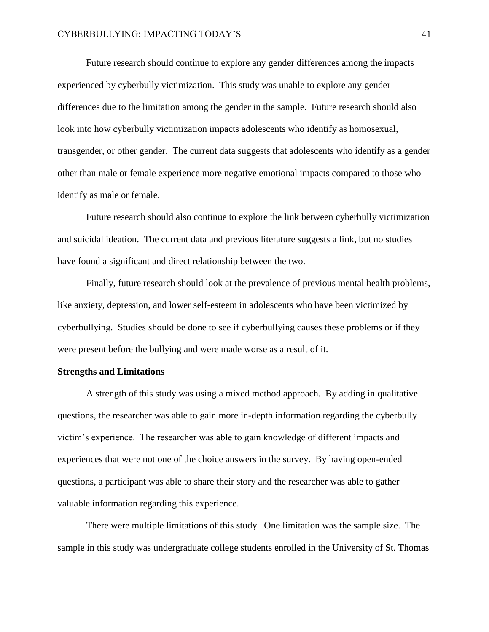Future research should continue to explore any gender differences among the impacts experienced by cyberbully victimization. This study was unable to explore any gender differences due to the limitation among the gender in the sample. Future research should also look into how cyberbully victimization impacts adolescents who identify as homosexual, transgender, or other gender. The current data suggests that adolescents who identify as a gender other than male or female experience more negative emotional impacts compared to those who identify as male or female.

Future research should also continue to explore the link between cyberbully victimization and suicidal ideation. The current data and previous literature suggests a link, but no studies have found a significant and direct relationship between the two.

Finally, future research should look at the prevalence of previous mental health problems, like anxiety, depression, and lower self-esteem in adolescents who have been victimized by cyberbullying. Studies should be done to see if cyberbullying causes these problems or if they were present before the bullying and were made worse as a result of it.

#### **Strengths and Limitations**

A strength of this study was using a mixed method approach. By adding in qualitative questions, the researcher was able to gain more in-depth information regarding the cyberbully victim's experience. The researcher was able to gain knowledge of different impacts and experiences that were not one of the choice answers in the survey. By having open-ended questions, a participant was able to share their story and the researcher was able to gather valuable information regarding this experience.

There were multiple limitations of this study. One limitation was the sample size. The sample in this study was undergraduate college students enrolled in the University of St. Thomas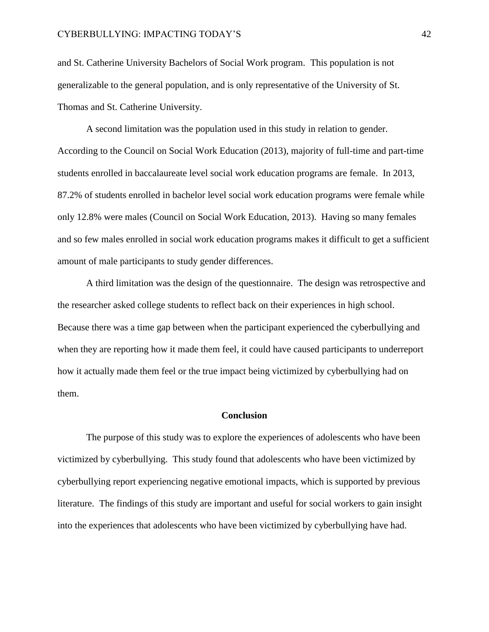and St. Catherine University Bachelors of Social Work program. This population is not generalizable to the general population, and is only representative of the University of St. Thomas and St. Catherine University.

A second limitation was the population used in this study in relation to gender. According to the Council on Social Work Education (2013), majority of full-time and part-time students enrolled in baccalaureate level social work education programs are female. In 2013, 87.2% of students enrolled in bachelor level social work education programs were female while only 12.8% were males (Council on Social Work Education, 2013). Having so many females and so few males enrolled in social work education programs makes it difficult to get a sufficient amount of male participants to study gender differences.

A third limitation was the design of the questionnaire. The design was retrospective and the researcher asked college students to reflect back on their experiences in high school. Because there was a time gap between when the participant experienced the cyberbullying and when they are reporting how it made them feel, it could have caused participants to underreport how it actually made them feel or the true impact being victimized by cyberbullying had on them.

#### **Conclusion**

The purpose of this study was to explore the experiences of adolescents who have been victimized by cyberbullying. This study found that adolescents who have been victimized by cyberbullying report experiencing negative emotional impacts, which is supported by previous literature. The findings of this study are important and useful for social workers to gain insight into the experiences that adolescents who have been victimized by cyberbullying have had.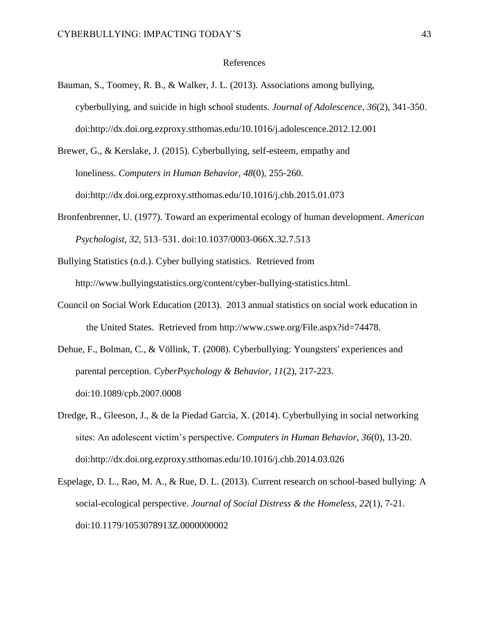#### References

Bauman, S., Toomey, R. B., & Walker, J. L. (2013). Associations among bullying, cyberbullying, and suicide in high school students. *Journal of Adolescence, 36*(2), 341-350. doi:http://dx.doi.org.ezproxy.stthomas.edu/10.1016/j.adolescence.2012.12.001

Brewer, G., & Kerslake, J. (2015). Cyberbullying, self-esteem, empathy and loneliness. *Computers in Human Behavior, 48*(0), 255-260. doi:http://dx.doi.org.ezproxy.stthomas.edu/10.1016/j.chb.2015.01.073

Bronfenbrenner, U. (1977). Toward an experimental ecology of human development. *American Psychologist*, *32*, 513–531. doi:10.1037/0003-066X.32.7.513

Bullying Statistics (n.d.). Cyber bullying statistics. Retrieved from http://www.bullyingstatistics.org/content/cyber-bullying-statistics.html.

- Council on Social Work Education (2013). 2013 annual statistics on social work education in the United States. Retrieved from http://www.cswe.org/File.aspx?id=74478.
- Dehue, F., Bolman, C., & Völlink, T. (2008). Cyberbullying: Youngsters' experiences and parental perception. *CyberPsychology & Behavior, 11*(2), 217-223. doi:10.1089/cpb.2007.0008
- Dredge, R., Gleeson, J., & de la Piedad Garcia, X. (2014). Cyberbullying in social networking sites: An adolescent victim's perspective. *Computers in Human Behavior, 36*(0), 13-20. doi:http://dx.doi.org.ezproxy.stthomas.edu/10.1016/j.chb.2014.03.026
- Espelage, D. L., Rao, M. A., & Rue, D. L. (2013). Current research on school-based bullying: A social-ecological perspective. *Journal of Social Distress & the Homeless, 22*(1), 7-21. doi:10.1179/1053078913Z.0000000002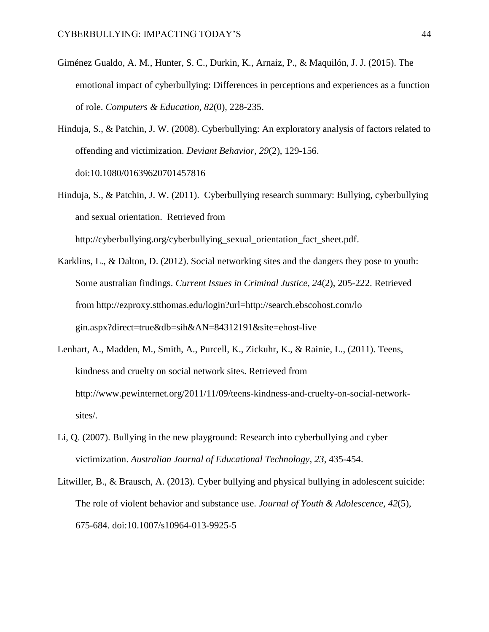- Giménez Gualdo, A. M., Hunter, S. C., Durkin, K., Arnaiz, P., & Maquilón, J. J. (2015). The emotional impact of cyberbullying: Differences in perceptions and experiences as a function of role. *Computers & Education, 82*(0), 228-235.
- Hinduja, S., & Patchin, J. W. (2008). Cyberbullying: An exploratory analysis of factors related to offending and victimization. *Deviant Behavior, 29*(2), 129-156. doi:10.1080/01639620701457816
- Hinduja, S., & Patchin, J. W. (2011). Cyberbullying research summary: Bullying, cyberbullying and sexual orientation. Retrieved from http://cyberbullying.org/cyberbullying\_sexual\_orientation\_fact\_sheet.pdf.
- Karklins, L., & Dalton, D. (2012). Social networking sites and the dangers they pose to youth: Some australian findings. *Current Issues in Criminal Justice, 24*(2), 205-222. Retrieved from http://ezproxy.stthomas.edu/login?url=http://search.ebscohost.com/lo gin.aspx?direct=true&db=sih&AN=84312191&site=ehost-live
- Lenhart, A., Madden, M., Smith, A., Purcell, K., Zickuhr, K., & Rainie, L., (2011). Teens, kindness and cruelty on social network sites. Retrieved from http://www.pewinternet.org/2011/11/09/teens-kindness-and-cruelty-on-social-networksites/.
- Li, Q. (2007). Bullying in the new playground: Research into cyberbullying and cyber victimization. *Australian Journal of Educational Technology, 23*, 435-454.
- Litwiller, B., & Brausch, A. (2013). Cyber bullying and physical bullying in adolescent suicide: The role of violent behavior and substance use. *Journal of Youth & Adolescence, 42*(5), 675-684. doi:10.1007/s10964-013-9925-5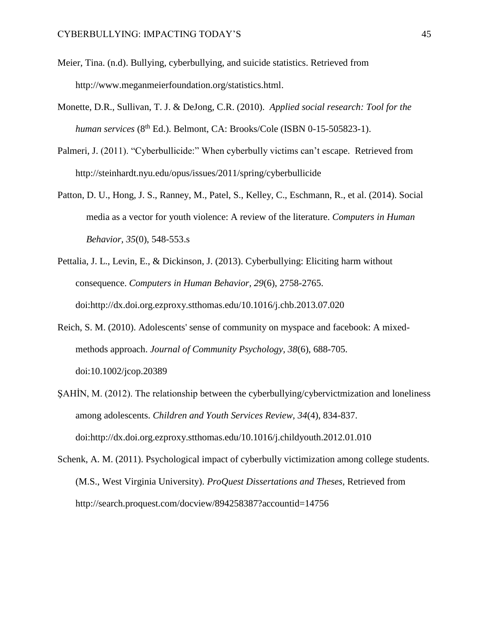- Meier, Tina. (n.d). Bullying, cyberbullying, and suicide statistics. Retrieved from http://www.meganmeierfoundation.org/statistics.html.
- Monette, D.R., Sullivan, T. J. & DeJong, C.R. (2010). *Applied social research: Tool for the human services* (8<sup>th</sup> Ed.). Belmont, CA: Brooks/Cole (ISBN 0-15-505823-1).
- Palmeri, J. (2011). "Cyberbullicide:" When cyberbully victims can't escape. Retrieved from http://steinhardt.nyu.edu/opus/issues/2011/spring/cyberbullicide
- Patton, D. U., Hong, J. S., Ranney, M., Patel, S., Kelley, C., Eschmann, R., et al. (2014). Social media as a vector for youth violence: A review of the literature. *Computers in Human Behavior, 35*(0), 548-553.s
- Pettalia, J. L., Levin, E., & Dickinson, J. (2013). Cyberbullying: Eliciting harm without consequence. *Computers in Human Behavior, 29*(6), 2758-2765. doi:http://dx.doi.org.ezproxy.stthomas.edu/10.1016/j.chb.2013.07.020
- Reich, S. M. (2010). Adolescents' sense of community on myspace and facebook: A mixedmethods approach. *Journal of Community Psychology, 38*(6), 688-705. doi:10.1002/jcop.20389
- ŞAHİN, M. (2012). The relationship between the cyberbullying/cybervictmization and loneliness among adolescents. *Children and Youth Services Review, 34*(4), 834-837. doi:http://dx.doi.org.ezproxy.stthomas.edu/10.1016/j.childyouth.2012.01.010
- Schenk, A. M. (2011). Psychological impact of cyberbully victimization among college students. (M.S., West Virginia University). *ProQuest Dissertations and Theses,* Retrieved from http://search.proquest.com/docview/894258387?accountid=14756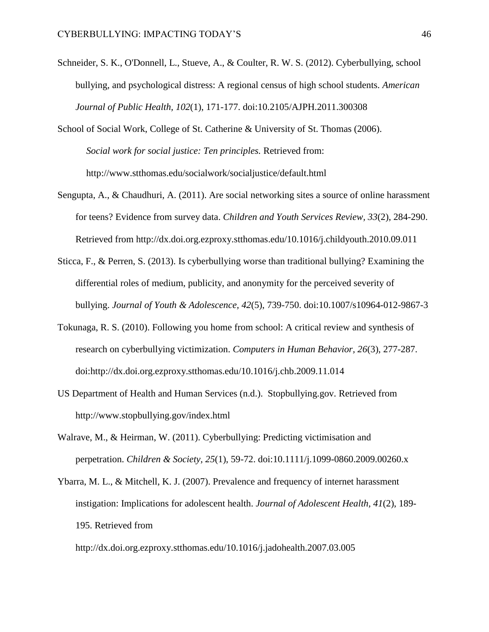- Schneider, S. K., O'Donnell, L., Stueve, A., & Coulter, R. W. S. (2012). Cyberbullying, school bullying, and psychological distress: A regional census of high school students. *American Journal of Public Health, 102*(1), 171-177. doi:10.2105/AJPH.2011.300308
- School of Social Work, College of St. Catherine & University of St. Thomas (2006). *Social work for social justice: Ten principles.* Retrieved from: http://www.stthomas.edu/socialwork/socialjustice/default.html
- Sengupta, A., & Chaudhuri, A. (2011). Are social networking sites a source of online harassment for teens? Evidence from survey data. *Children and Youth Services Review, 33*(2), 284-290. Retrieved from http://dx.doi.org.ezproxy.stthomas.edu/10.1016/j.childyouth.2010.09.011
- Sticca, F., & Perren, S. (2013). Is cyberbullying worse than traditional bullying? Examining the differential roles of medium, publicity, and anonymity for the perceived severity of bullying. *Journal of Youth & Adolescence, 42*(5), 739-750. doi:10.1007/s10964-012-9867-3
- Tokunaga, R. S. (2010). Following you home from school: A critical review and synthesis of research on cyberbullying victimization. *Computers in Human Behavior, 26*(3), 277-287. doi:http://dx.doi.org.ezproxy.stthomas.edu/10.1016/j.chb.2009.11.014
- US Department of Health and Human Services (n.d.). Stopbullying.gov. Retrieved from http://www.stopbullying.gov/index.html
- Walrave, M., & Heirman, W. (2011). Cyberbullying: Predicting victimisation and perpetration. *Children & Society, 25*(1), 59-72. doi:10.1111/j.1099-0860.2009.00260.x
- Ybarra, M. L., & Mitchell, K. J. (2007). Prevalence and frequency of internet harassment instigation: Implications for adolescent health. *Journal of Adolescent Health, 41*(2), 189- 195. Retrieved from

http://dx.doi.org.ezproxy.stthomas.edu/10.1016/j.jadohealth.2007.03.005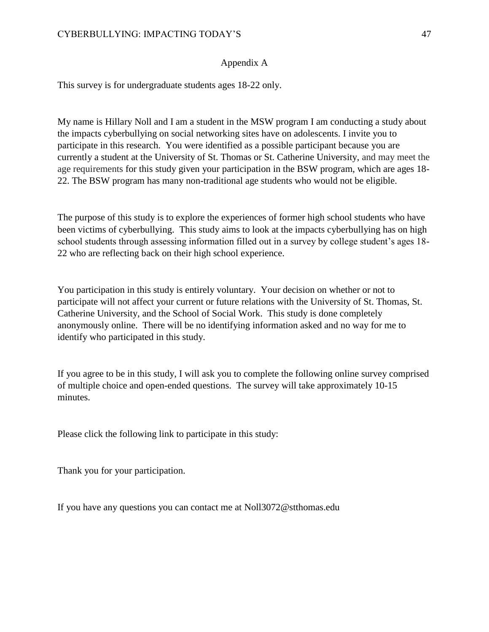# Appendix A

This survey is for undergraduate students ages 18-22 only.

My name is Hillary Noll and I am a student in the MSW program I am conducting a study about the impacts cyberbullying on social networking sites have on adolescents. I invite you to participate in this research. You were identified as a possible participant because you are currently a student at the University of St. Thomas or St. Catherine University, and may meet the age requirements for this study given your participation in the BSW program, which are ages 18- 22. The BSW program has many non-traditional age students who would not be eligible.

The purpose of this study is to explore the experiences of former high school students who have been victims of cyberbullying. This study aims to look at the impacts cyberbullying has on high school students through assessing information filled out in a survey by college student's ages 18- 22 who are reflecting back on their high school experience.

You participation in this study is entirely voluntary. Your decision on whether or not to participate will not affect your current or future relations with the University of St. Thomas, St. Catherine University, and the School of Social Work. This study is done completely anonymously online. There will be no identifying information asked and no way for me to identify who participated in this study.

If you agree to be in this study, I will ask you to complete the following online survey comprised of multiple choice and open-ended questions. The survey will take approximately 10-15 minutes.

Please click the following link to participate in this study:

Thank you for your participation.

If you have any questions you can contact me at Noll3072@stthomas.edu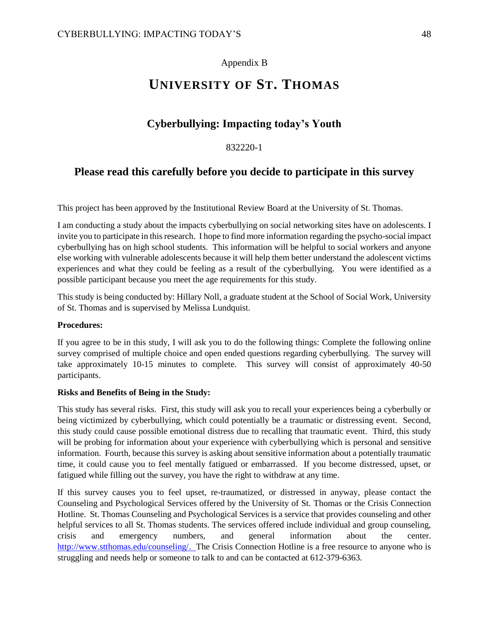# Appendix B

# **UNIVERSITY OF ST. THOMAS**

# **Cyberbullying: Impacting today's Youth**

## 832220-1

# **Please read this carefully before you decide to participate in this survey**

This project has been approved by the Institutional Review Board at the University of St. Thomas.

I am conducting a study about the impacts cyberbullying on social networking sites have on adolescents. I invite you to participate in this research. I hope to find more information regarding the psycho-social impact cyberbullying has on high school students. This information will be helpful to social workers and anyone else working with vulnerable adolescents because it will help them better understand the adolescent victims experiences and what they could be feeling as a result of the cyberbullying. You were identified as a possible participant because you meet the age requirements for this study.

This study is being conducted by: Hillary Noll, a graduate student at the School of Social Work, University of St. Thomas and is supervised by Melissa Lundquist.

#### **Procedures:**

If you agree to be in this study, I will ask you to do the following things: Complete the following online survey comprised of multiple choice and open ended questions regarding cyberbullying. The survey will take approximately 10-15 minutes to complete. This survey will consist of approximately 40-50 participants.

#### **Risks and Benefits of Being in the Study:**

This study has several risks. First, this study will ask you to recall your experiences being a cyberbully or being victimized by cyberbullying, which could potentially be a traumatic or distressing event. Second, this study could cause possible emotional distress due to recalling that traumatic event. Third, this study will be probing for information about your experience with cyberbullying which is personal and sensitive information. Fourth, because this survey is asking about sensitive information about a potentially traumatic time, it could cause you to feel mentally fatigued or embarrassed. If you become distressed, upset, or fatigued while filling out the survey, you have the right to withdraw at any time.

If this survey causes you to feel upset, re-traumatized, or distressed in anyway, please contact the Counseling and Psychological Services offered by the University of St. Thomas or the Crisis Connection Hotline. St. Thomas Counseling and Psychological Services is a service that provides counseling and other helpful services to all St. Thomas students. The services offered include individual and group counseling, crisis and emergency numbers, and general information about the center. [http://www.stthomas.edu/counseling/.](http://www.stthomas.edu/counseling/) The Crisis Connection Hotline is a free resource to anyone who is struggling and needs help or someone to talk to and can be contacted at 612-379-6363.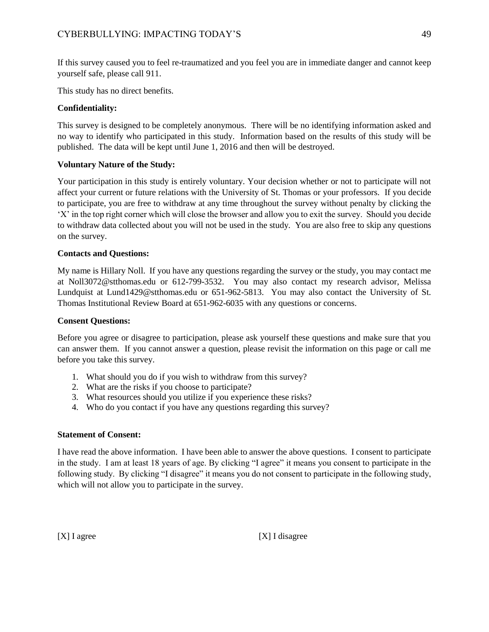If this survey caused you to feel re-traumatized and you feel you are in immediate danger and cannot keep yourself safe, please call 911.

This study has no direct benefits.

# **Confidentiality:**

This survey is designed to be completely anonymous. There will be no identifying information asked and no way to identify who participated in this study. Information based on the results of this study will be published. The data will be kept until June 1, 2016 and then will be destroyed.

## **Voluntary Nature of the Study:**

Your participation in this study is entirely voluntary. Your decision whether or not to participate will not affect your current or future relations with the University of St. Thomas or your professors. If you decide to participate, you are free to withdraw at any time throughout the survey without penalty by clicking the 'X' in the top right corner which will close the browser and allow you to exit the survey. Should you decide to withdraw data collected about you will not be used in the study*.* You are also free to skip any questions on the survey.

#### **Contacts and Questions:**

My name is Hillary Noll. If you have any questions regarding the survey or the study, you may contact me at Noll3072@stthomas.edu or 612-799-3532. You may also contact my research advisor, Melissa Lundquist at Lund1429@stthomas.edu or 651-962-5813. You may also contact the University of St. Thomas Institutional Review Board at 651-962-6035 with any questions or concerns.

#### **Consent Questions:**

Before you agree or disagree to participation, please ask yourself these questions and make sure that you can answer them. If you cannot answer a question, please revisit the information on this page or call me before you take this survey.

- 1. What should you do if you wish to withdraw from this survey?
- 2. What are the risks if you choose to participate?
- 3. What resources should you utilize if you experience these risks?
- 4. Who do you contact if you have any questions regarding this survey?

#### **Statement of Consent:**

I have read the above information. I have been able to answer the above questions. I consent to participate in the study. I am at least 18 years of age. By clicking "I agree" it means you consent to participate in the following study. By clicking "I disagree" it means you do not consent to participate in the following study, which will not allow you to participate in the survey.

[X] I agree [X] I disagree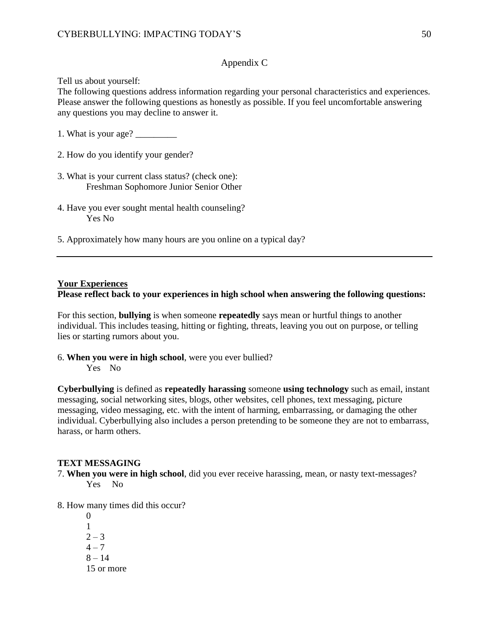# Appendix C

Tell us about yourself:

The following questions address information regarding your personal characteristics and experiences. Please answer the following questions as honestly as possible. If you feel uncomfortable answering any questions you may decline to answer it.

1. What is your age? \_\_\_\_\_\_\_\_\_

- 2. How do you identify your gender?
- 3. What is your current class status? (check one): Freshman Sophomore Junior Senior Other
- 4. Have you ever sought mental health counseling? Yes No
- 5. Approximately how many hours are you online on a typical day?

#### **Your Experiences**

# **Please reflect back to your experiences in high school when answering the following questions:**

For this section, **bullying** is when someone **repeatedly** says mean or hurtful things to another individual. This includes teasing, hitting or fighting, threats, leaving you out on purpose, or telling lies or starting rumors about you.

6. **When you were in high school**, were you ever bullied? Yes No

**Cyberbullying** is defined as **repeatedly harassing** someone **using technology** such as email, instant messaging, social networking sites, blogs, other websites, cell phones, text messaging, picture messaging, video messaging, etc. with the intent of harming, embarrassing, or damaging the other individual. Cyberbullying also includes a person pretending to be someone they are not to embarrass, harass, or harm others.

#### **TEXT MESSAGING**

- 7. **When you were in high school**, did you ever receive harassing, mean, or nasty text-messages? Yes No
- 8. How many times did this occur?
	- $\theta$ 1  $2 - 3$  $4 - 7$  $8 - 14$ 15 or more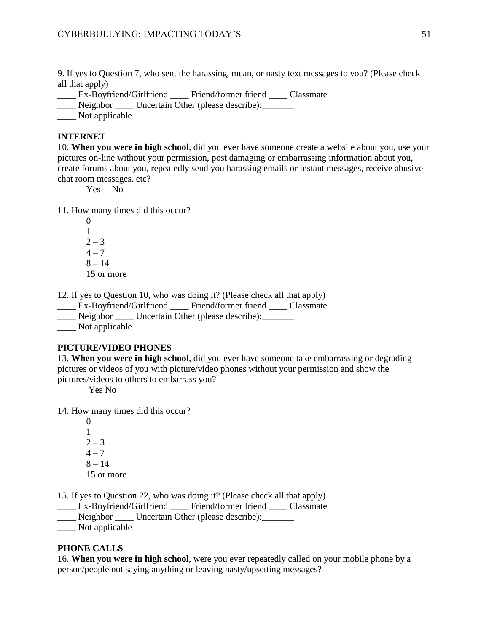9. If yes to Question 7, who sent the harassing, mean, or nasty text messages to you? (Please check all that apply)

\_\_\_\_ Ex-Boyfriend/Girlfriend \_\_\_\_ Friend/former friend \_\_\_\_ Classmate

\_\_\_\_ Neighbor \_\_\_\_ Uncertain Other (please describe):\_\_\_\_\_\_\_

Not applicable

#### **INTERNET**

10. **When you were in high school**, did you ever have someone create a website about you, use your pictures on-line without your permission, post damaging or embarrassing information about you, create forums about you, repeatedly send you harassing emails or instant messages, receive abusive chat room messages, etc?

Yes No

11. How many times did this occur?

12. If yes to Question 10, who was doing it? (Please check all that apply)

| Ex-Boyfriend/Girlfriend |                                    | Friend/former friend | Classmate |
|-------------------------|------------------------------------|----------------------|-----------|
| Neighbor                | Uncertain Other (please describe): |                      |           |
| Not applicable          |                                    |                      |           |

#### **PICTURE/VIDEO PHONES**

13. **When you were in high school**, did you ever have someone take embarrassing or degrading pictures or videos of you with picture/video phones without your permission and show the pictures/videos to others to embarrass you?

Yes No

14. How many times did this occur?

15. If yes to Question 22, who was doing it? (Please check all that apply)

\_\_\_\_ Ex-Boyfriend/Girlfriend \_\_\_\_ Friend/former friend \_\_\_\_ Classmate

\_\_\_\_ Neighbor \_\_\_\_ Uncertain Other (please describe):\_\_\_\_\_\_\_

\_\_\_\_ Not applicable

## **PHONE CALLS**

16. **When you were in high school**, were you ever repeatedly called on your mobile phone by a person/people not saying anything or leaving nasty/upsetting messages?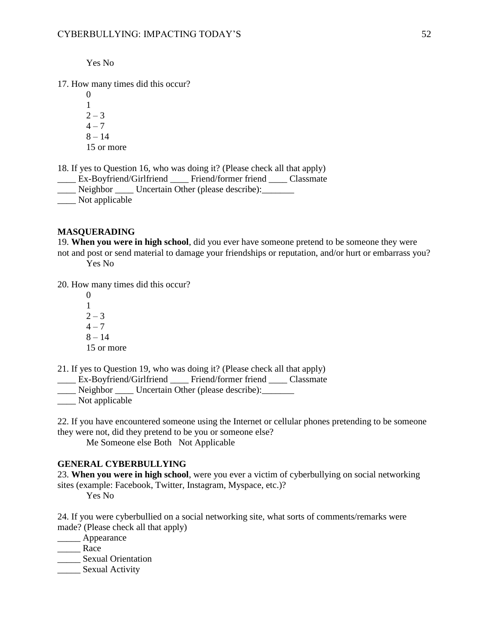Yes No

17. How many times did this occur?

 $\theta$ 1  $2 - 3$  $4 - 7$  $8 - 14$ 15 or more

18. If yes to Question 16, who was doing it? (Please check all that apply)

\_\_\_\_ Ex-Boyfriend/Girlfriend \_\_\_\_ Friend/former friend \_\_\_\_ Classmate

\_\_\_\_ Neighbor \_\_\_\_ Uncertain Other (please describe):\_\_\_\_\_\_\_

\_\_\_\_ Not applicable

## **MASQUERADING**

19. **When you were in high school**, did you ever have someone pretend to be someone they were not and post or send material to damage your friendships or reputation, and/or hurt or embarrass you? Yes No

20. How many times did this occur?

21. If yes to Question 19, who was doing it? (Please check all that apply)

Ex-Boyfriend/Girlfriend Friend/former friend Classmate

\_\_\_\_ Neighbor \_\_\_\_ Uncertain Other (please describe):\_\_\_\_\_\_\_

\_\_\_\_ Not applicable

22. If you have encountered someone using the Internet or cellular phones pretending to be someone they were not, did they pretend to be you or someone else?

Me Someone else Both Not Applicable

# **GENERAL CYBERBULLYING**

23. **When you were in high school**, were you ever a victim of cyberbullying on social networking sites (example: Facebook, Twitter, Instagram, Myspace, etc.)?

Yes No

24. If you were cyberbullied on a social networking site, what sorts of comments/remarks were made? (Please check all that apply)

\_\_\_\_\_ Appearance

\_\_\_\_\_ Race

\_\_\_\_\_ Sexual Orientation

\_\_\_\_\_ Sexual Activity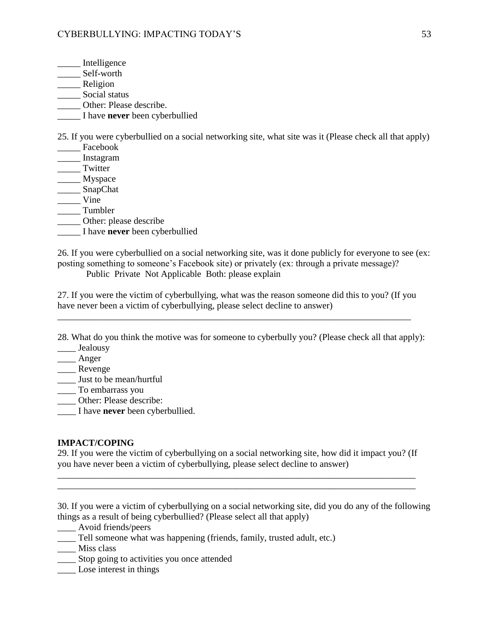- \_\_\_\_\_ Intelligence
- \_\_\_\_\_\_\_ Self-worth
- \_\_\_\_\_ Religion
- \_\_\_\_\_ Social status
- \_\_\_\_\_ Other: Please describe.
- \_\_\_\_\_ I have **never** been cyberbullied

25. If you were cyberbullied on a social networking site, what site was it (Please check all that apply)

- \_\_\_\_\_ Facebook \_\_\_\_\_ Instagram
- \_\_\_\_\_ Twitter
- \_\_\_\_\_\_ Myspace
- \_\_\_\_\_\_ SnapChat
- \_\_\_\_\_ Vine
- \_\_\_\_\_ Tumbler
- $\overline{\phantom{a}}$  Other: please describe
- \_\_\_\_\_ I have **never** been cyberbullied

26. If you were cyberbullied on a social networking site, was it done publicly for everyone to see (ex: posting something to someone's Facebook site) or privately (ex: through a private message)?

Public Private Not Applicable Both: please explain

27. If you were the victim of cyberbullying, what was the reason someone did this to you? (If you have never been a victim of cyberbullying, please select decline to answer)

\_\_\_\_\_\_\_\_\_\_\_\_\_\_\_\_\_\_\_\_\_\_\_\_\_\_\_\_\_\_\_\_\_\_\_\_\_\_\_\_\_\_\_\_\_\_\_\_\_\_\_\_\_\_\_\_\_\_\_\_\_\_\_\_\_\_\_\_\_\_\_\_\_\_\_\_\_

28. What do you think the motive was for someone to cyberbully you? (Please check all that apply):

- Jealousy
- \_\_\_\_ Anger
- \_\_\_\_\_ Revenge
- \_\_\_\_ Just to be mean/hurtful
- \_\_\_\_ To embarrass you
- \_\_\_\_ Other: Please describe:
- \_\_\_\_ I have **never** been cyberbullied.

# **IMPACT/COPING**

29. If you were the victim of cyberbullying on a social networking site, how did it impact you? (If you have never been a victim of cyberbullying, please select decline to answer)

\_\_\_\_\_\_\_\_\_\_\_\_\_\_\_\_\_\_\_\_\_\_\_\_\_\_\_\_\_\_\_\_\_\_\_\_\_\_\_\_\_\_\_\_\_\_\_\_\_\_\_\_\_\_\_\_\_\_\_\_\_\_\_\_\_\_\_\_\_\_\_\_\_\_\_\_\_\_ \_\_\_\_\_\_\_\_\_\_\_\_\_\_\_\_\_\_\_\_\_\_\_\_\_\_\_\_\_\_\_\_\_\_\_\_\_\_\_\_\_\_\_\_\_\_\_\_\_\_\_\_\_\_\_\_\_\_\_\_\_\_\_\_\_\_\_\_\_\_\_\_\_\_\_\_\_\_

30. If you were a victim of cyberbullying on a social networking site, did you do any of the following things as a result of being cyberbullied? (Please select all that apply)

\_\_\_\_ Avoid friends/peers

- \_\_\_\_ Tell someone what was happening (friends, family, trusted adult, etc.)
- \_\_\_\_ Miss class
- \_\_\_\_ Stop going to activities you once attended
- \_\_\_\_ Lose interest in things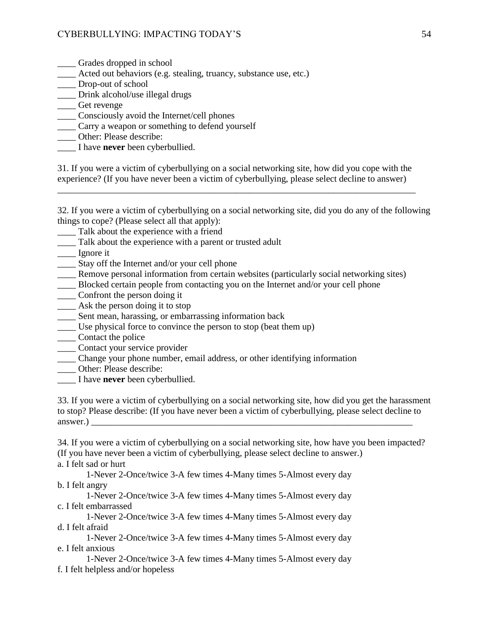- \_\_\_\_ Grades dropped in school
- \_\_\_\_ Acted out behaviors (e.g. stealing, truancy, substance use, etc.)
- \_\_\_\_ Drop-out of school
- \_\_\_\_ Drink alcohol/use illegal drugs
- \_\_\_\_ Get revenge
- \_\_\_\_ Consciously avoid the Internet/cell phones
- \_\_\_\_ Carry a weapon or something to defend yourself
- Other: Please describe:
- \_\_\_\_ I have **never** been cyberbullied.

31. If you were a victim of cyberbullying on a social networking site, how did you cope with the experience? (If you have never been a victim of cyberbullying, please select decline to answer)

\_\_\_\_\_\_\_\_\_\_\_\_\_\_\_\_\_\_\_\_\_\_\_\_\_\_\_\_\_\_\_\_\_\_\_\_\_\_\_\_\_\_\_\_\_\_\_\_\_\_\_\_\_\_\_\_\_\_\_\_\_\_\_\_\_\_\_\_\_\_\_\_\_\_\_\_\_\_

32. If you were a victim of cyberbullying on a social networking site, did you do any of the following things to cope? (Please select all that apply):

- \_\_\_\_ Talk about the experience with a friend
- \_\_\_\_ Talk about the experience with a parent or trusted adult

\_\_\_\_ Ignore it

- \_\_\_\_ Stay off the Internet and/or your cell phone
- \_\_\_\_ Remove personal information from certain websites (particularly social networking sites)
- \_\_\_\_ Blocked certain people from contacting you on the Internet and/or your cell phone
- \_\_\_\_ Confront the person doing it
- \_\_\_\_ Ask the person doing it to stop
- \_\_\_\_ Sent mean, harassing, or embarrassing information back
- \_\_\_\_ Use physical force to convince the person to stop (beat them up)
- \_\_\_\_\_ Contact the police
- \_\_\_\_ Contact your service provider
- \_\_\_\_ Change your phone number, email address, or other identifying information
- \_\_\_\_ Other: Please describe:
- \_\_\_\_ I have **never** been cyberbullied.

33. If you were a victim of cyberbullying on a social networking site, how did you get the harassment to stop? Please describe: (If you have never been a victim of cyberbullying, please select decline to  $answer.)$ 

34. If you were a victim of cyberbullying on a social networking site, how have you been impacted? (If you have never been a victim of cyberbullying, please select decline to answer.)

a. I felt sad or hurt

1-Never 2-Once/twice 3-A few times 4-Many times 5-Almost every day b. I felt angry

1-Never 2-Once/twice 3-A few times 4-Many times 5-Almost every day c. I felt embarrassed

1-Never 2-Once/twice 3-A few times 4-Many times 5-Almost every day d. I felt afraid

1-Never 2-Once/twice 3-A few times 4-Many times 5-Almost every day e. I felt anxious

1-Never 2-Once/twice 3-A few times 4-Many times 5-Almost every day f. I felt helpless and/or hopeless